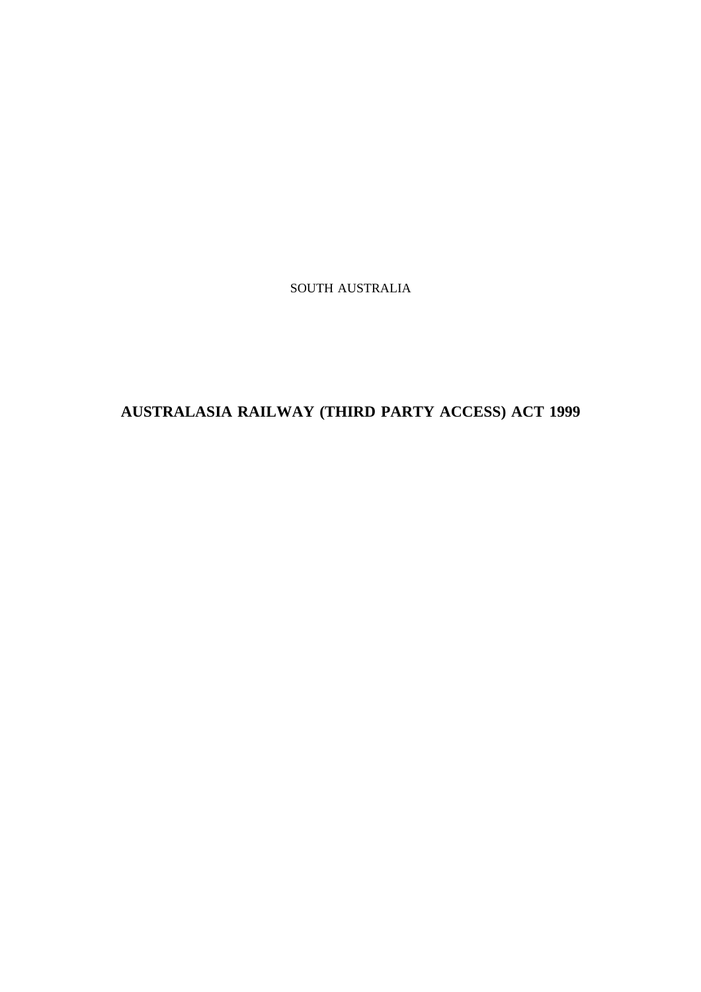SOUTH AUSTRALIA

**AUSTRALASIA RAILWAY (THIRD PARTY ACCESS) ACT 1999**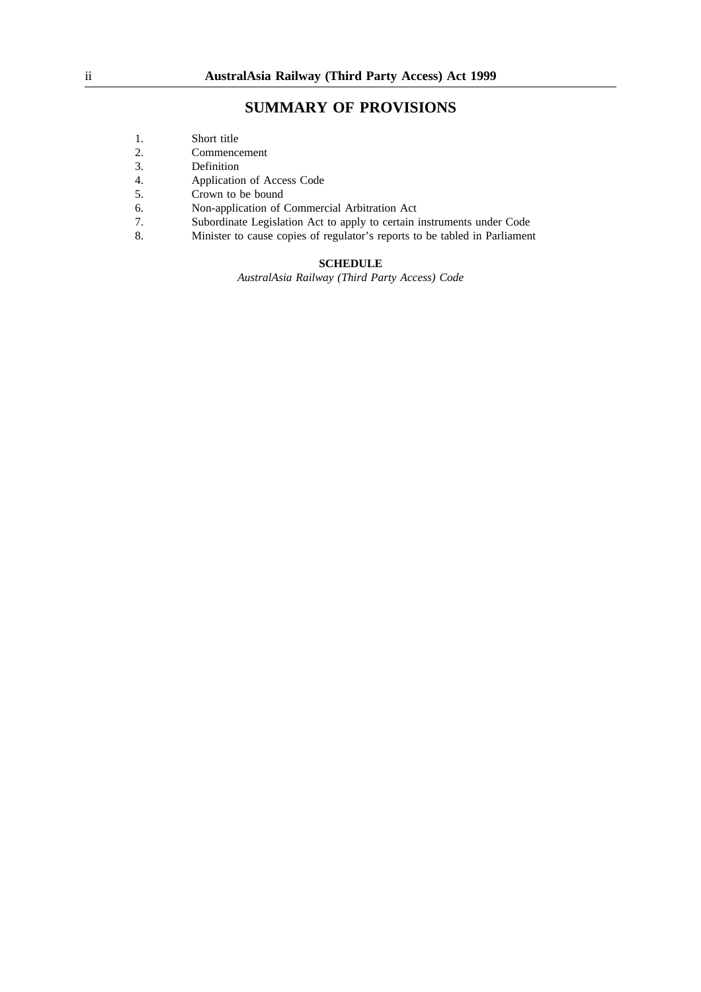## **SUMMARY OF PROVISIONS**

- 1. Short title
- 2. Commencement<br>3. Definition
- **Definition**
- 4. Application of Access Code<br>5. Crown to be bound
- 5. Crown to be bound
- 6. Non-application of Commercial Arbitration Act
- 7. Subordinate Legislation Act to apply to certain instruments under Code
- 8. Minister to cause copies of regulator's reports to be tabled in Parliament

## **SCHEDULE**

*AustralAsia Railway (Third Party Access) Code*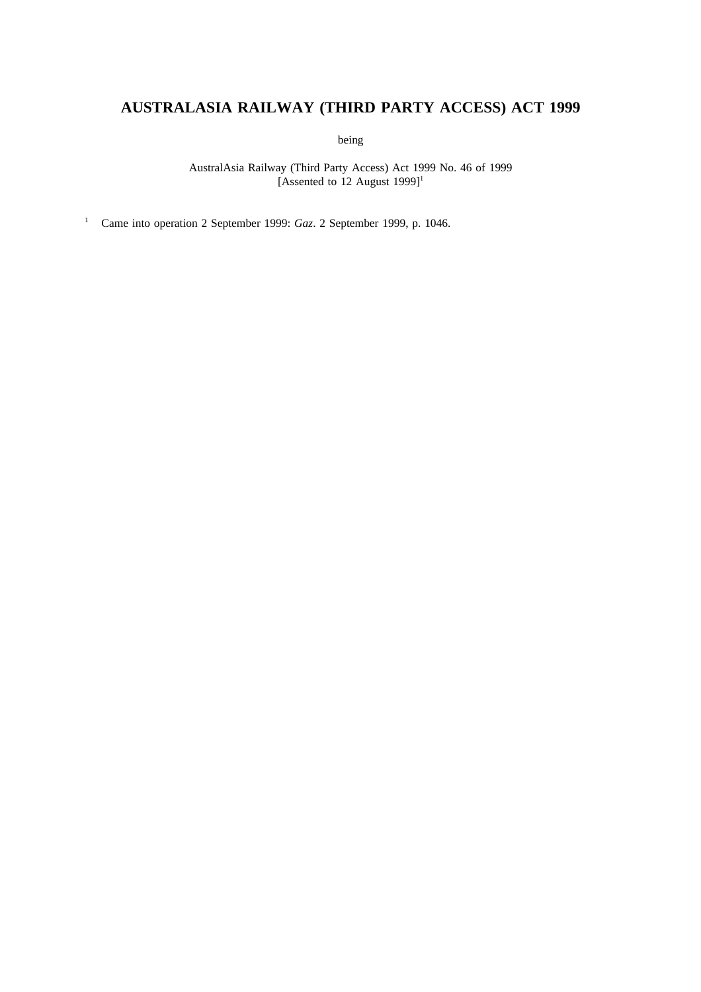# **AUSTRALASIA RAILWAY (THIRD PARTY ACCESS) ACT 1999**

being

AustralAsia Railway (Third Party Access) Act 1999 No. 46 of 1999 [Assented to 12 August  $1999$ ]<sup>1</sup>

<sup>1</sup> Came into operation 2 September 1999: *Gaz*. 2 September 1999, p. 1046.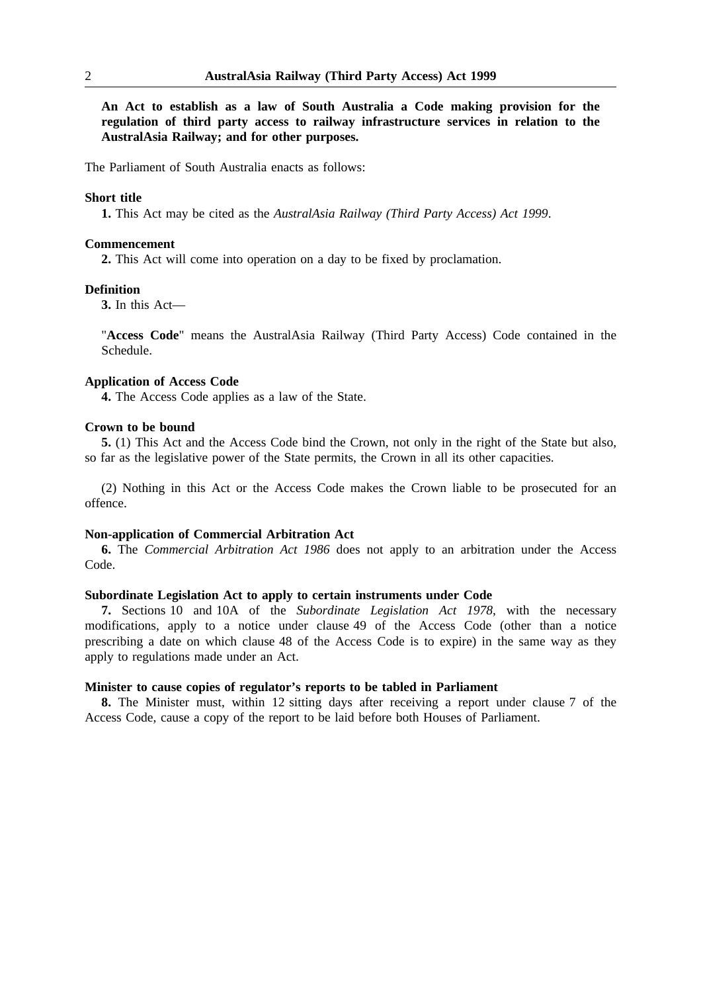**An Act to establish as a law of South Australia a Code making provision for the regulation of third party access to railway infrastructure services in relation to the AustralAsia Railway; and for other purposes.**

The Parliament of South Australia enacts as follows:

#### **Short title**

**1.** This Act may be cited as the *AustralAsia Railway (Third Party Access) Act 1999*.

#### **Commencement**

**2.** This Act will come into operation on a day to be fixed by proclamation.

## **Definition**

**3.** In this Act—

"**Access Code**" means the AustralAsia Railway (Third Party Access) Code contained in the Schedule.

## **Application of Access Code**

**4.** The Access Code applies as a law of the State.

## **Crown to be bound**

**5.** (1) This Act and the Access Code bind the Crown, not only in the right of the State but also, so far as the legislative power of the State permits, the Crown in all its other capacities.

(2) Nothing in this Act or the Access Code makes the Crown liable to be prosecuted for an offence.

## **Non-application of Commercial Arbitration Act**

**6.** The *Commercial Arbitration Act 1986* does not apply to an arbitration under the Access Code.

## **Subordinate Legislation Act to apply to certain instruments under Code**

**7.** Sections 10 and 10A of the *Subordinate Legislation Act 1978*, with the necessary modifications, apply to a notice under clause 49 of the Access Code (other than a notice prescribing a date on which clause 48 of the Access Code is to expire) in the same way as they apply to regulations made under an Act.

#### **Minister to cause copies of regulator's reports to be tabled in Parliament**

**8.** The Minister must, within 12 sitting days after receiving a report under clause 7 of the Access Code, cause a copy of the report to be laid before both Houses of Parliament.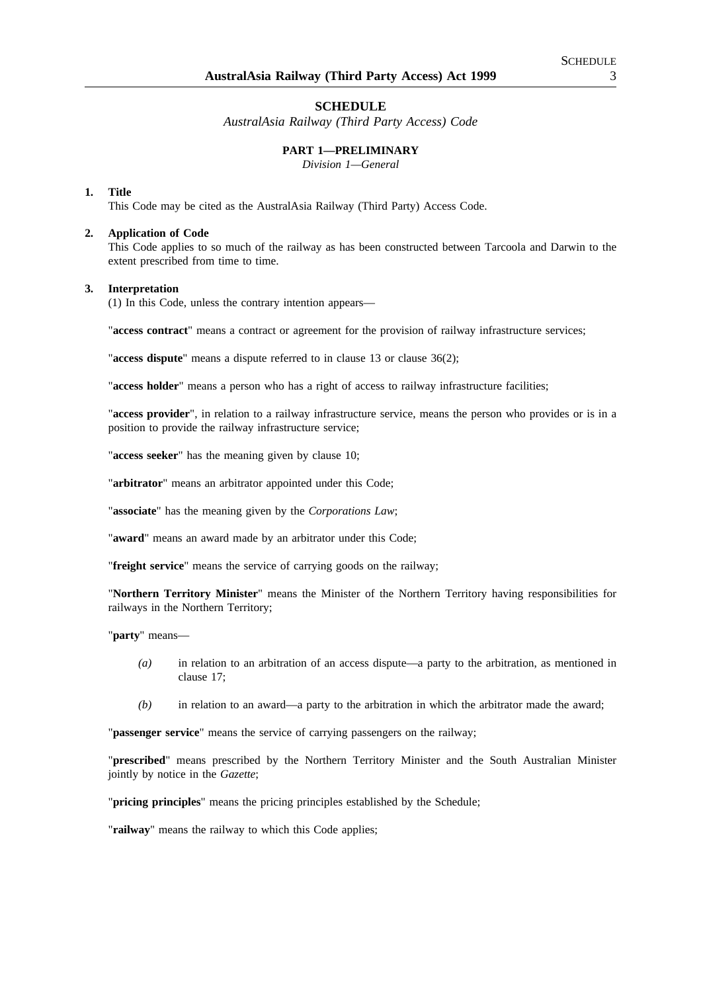## **SCHEDULE**

*AustralAsia Railway (Third Party Access) Code*

## **PART 1—PRELIMINARY**

*Division 1—General*

#### **1. Title**

This Code may be cited as the AustralAsia Railway (Third Party) Access Code.

#### **2. Application of Code**

This Code applies to so much of the railway as has been constructed between Tarcoola and Darwin to the extent prescribed from time to time.

#### **3. Interpretation**

(1) In this Code, unless the contrary intention appears—

"**access contract**" means a contract or agreement for the provision of railway infrastructure services;

"**access dispute**" means a dispute referred to in clause 13 or clause 36(2);

"**access holder**" means a person who has a right of access to railway infrastructure facilities;

"**access provider**", in relation to a railway infrastructure service, means the person who provides or is in a position to provide the railway infrastructure service;

"**access seeker**" has the meaning given by clause 10;

"**arbitrator**" means an arbitrator appointed under this Code;

"**associate**" has the meaning given by the *Corporations Law*;

"**award**" means an award made by an arbitrator under this Code;

"**freight service**" means the service of carrying goods on the railway;

"**Northern Territory Minister**" means the Minister of the Northern Territory having responsibilities for railways in the Northern Territory;

"**party**" means—

- *(a)* in relation to an arbitration of an access dispute—a party to the arbitration, as mentioned in clause 17;
- *(b)* in relation to an award—a party to the arbitration in which the arbitrator made the award;

"**passenger service**" means the service of carrying passengers on the railway;

"**prescribed**" means prescribed by the Northern Territory Minister and the South Australian Minister jointly by notice in the *Gazette*;

"**pricing principles**" means the pricing principles established by the Schedule;

"**railway**" means the railway to which this Code applies;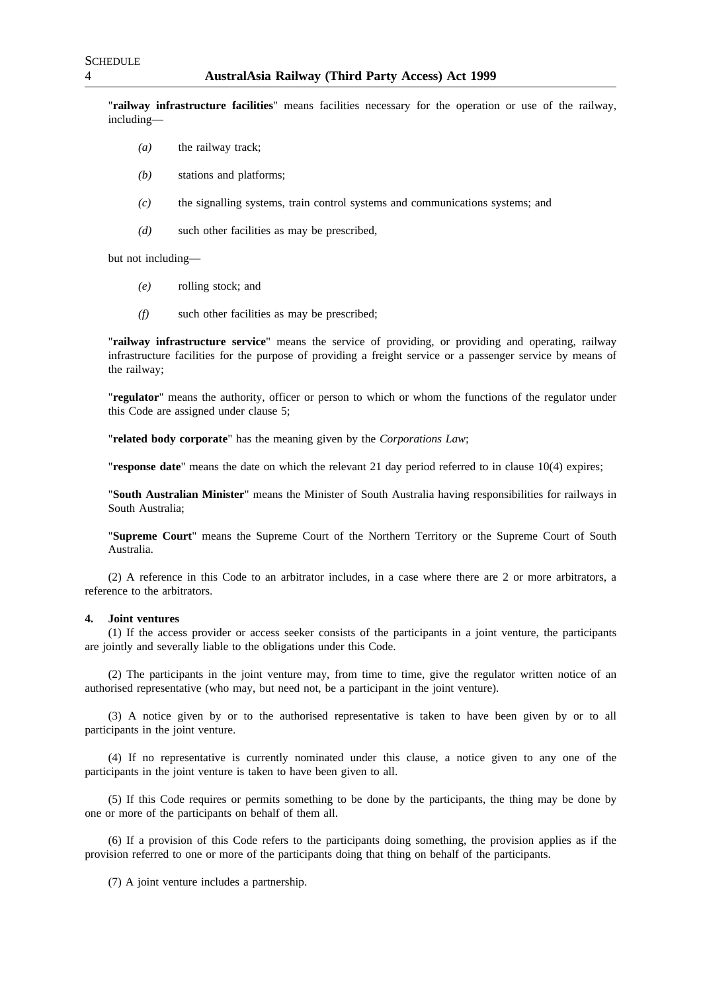"**railway infrastructure facilities**" means facilities necessary for the operation or use of the railway, including—

- *(a)* the railway track;
- *(b)* stations and platforms;
- *(c)* the signalling systems, train control systems and communications systems; and
- *(d)* such other facilities as may be prescribed,

but not including—

- *(e)* rolling stock; and
- *(f)* such other facilities as may be prescribed;

"**railway infrastructure service**" means the service of providing, or providing and operating, railway infrastructure facilities for the purpose of providing a freight service or a passenger service by means of the railway;

"**regulator**" means the authority, officer or person to which or whom the functions of the regulator under this Code are assigned under clause 5;

"**related body corporate**" has the meaning given by the *Corporations Law*;

"**response date**" means the date on which the relevant 21 day period referred to in clause 10(4) expires;

"**South Australian Minister**" means the Minister of South Australia having responsibilities for railways in South Australia;

"**Supreme Court**" means the Supreme Court of the Northern Territory or the Supreme Court of South Australia.

(2) A reference in this Code to an arbitrator includes, in a case where there are 2 or more arbitrators, a reference to the arbitrators.

#### **4. Joint ventures**

(1) If the access provider or access seeker consists of the participants in a joint venture, the participants are jointly and severally liable to the obligations under this Code.

(2) The participants in the joint venture may, from time to time, give the regulator written notice of an authorised representative (who may, but need not, be a participant in the joint venture).

(3) A notice given by or to the authorised representative is taken to have been given by or to all participants in the joint venture.

(4) If no representative is currently nominated under this clause, a notice given to any one of the participants in the joint venture is taken to have been given to all.

(5) If this Code requires or permits something to be done by the participants, the thing may be done by one or more of the participants on behalf of them all.

(6) If a provision of this Code refers to the participants doing something, the provision applies as if the provision referred to one or more of the participants doing that thing on behalf of the participants.

(7) A joint venture includes a partnership.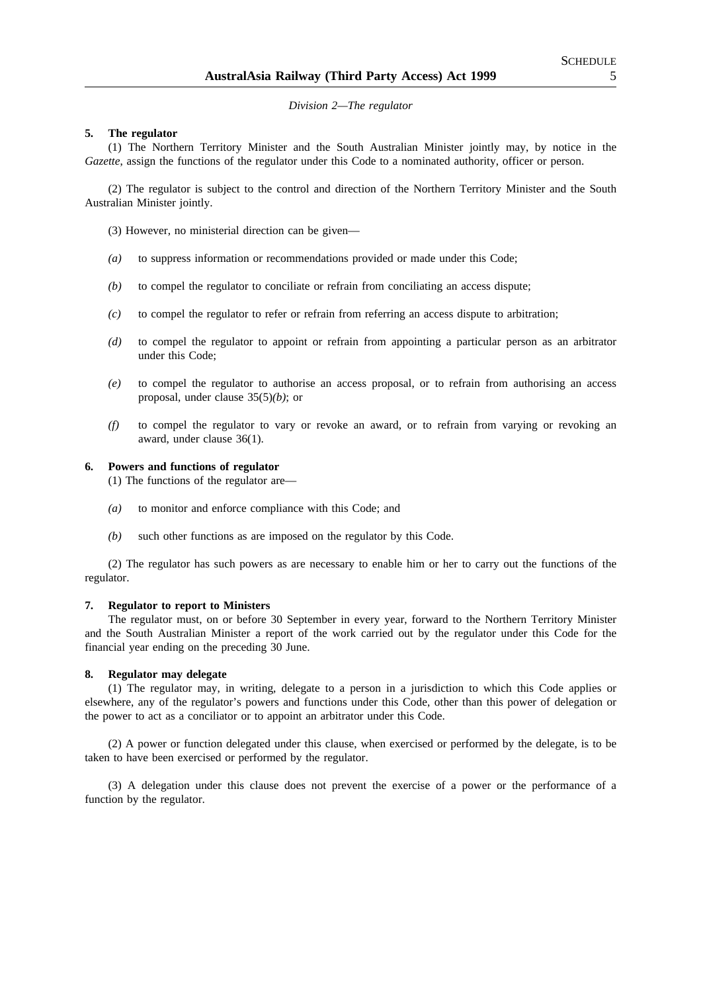*Division 2—The regulator*

#### **5. The regulator**

(1) The Northern Territory Minister and the South Australian Minister jointly may, by notice in the *Gazette*, assign the functions of the regulator under this Code to a nominated authority, officer or person.

(2) The regulator is subject to the control and direction of the Northern Territory Minister and the South Australian Minister jointly.

- (3) However, no ministerial direction can be given—
- *(a)* to suppress information or recommendations provided or made under this Code;
- *(b)* to compel the regulator to conciliate or refrain from conciliating an access dispute;
- *(c)* to compel the regulator to refer or refrain from referring an access dispute to arbitration;
- *(d)* to compel the regulator to appoint or refrain from appointing a particular person as an arbitrator under this Code;
- *(e)* to compel the regulator to authorise an access proposal, or to refrain from authorising an access proposal, under clause 35(5)*(b)*; or
- *(f)* to compel the regulator to vary or revoke an award, or to refrain from varying or revoking an award, under clause 36(1).

#### **6. Powers and functions of regulator**

(1) The functions of the regulator are—

- *(a)* to monitor and enforce compliance with this Code; and
- *(b)* such other functions as are imposed on the regulator by this Code.

(2) The regulator has such powers as are necessary to enable him or her to carry out the functions of the regulator.

#### **7. Regulator to report to Ministers**

The regulator must, on or before 30 September in every year, forward to the Northern Territory Minister and the South Australian Minister a report of the work carried out by the regulator under this Code for the financial year ending on the preceding 30 June.

#### **8. Regulator may delegate**

(1) The regulator may, in writing, delegate to a person in a jurisdiction to which this Code applies or elsewhere, any of the regulator's powers and functions under this Code, other than this power of delegation or the power to act as a conciliator or to appoint an arbitrator under this Code.

(2) A power or function delegated under this clause, when exercised or performed by the delegate, is to be taken to have been exercised or performed by the regulator.

(3) A delegation under this clause does not prevent the exercise of a power or the performance of a function by the regulator.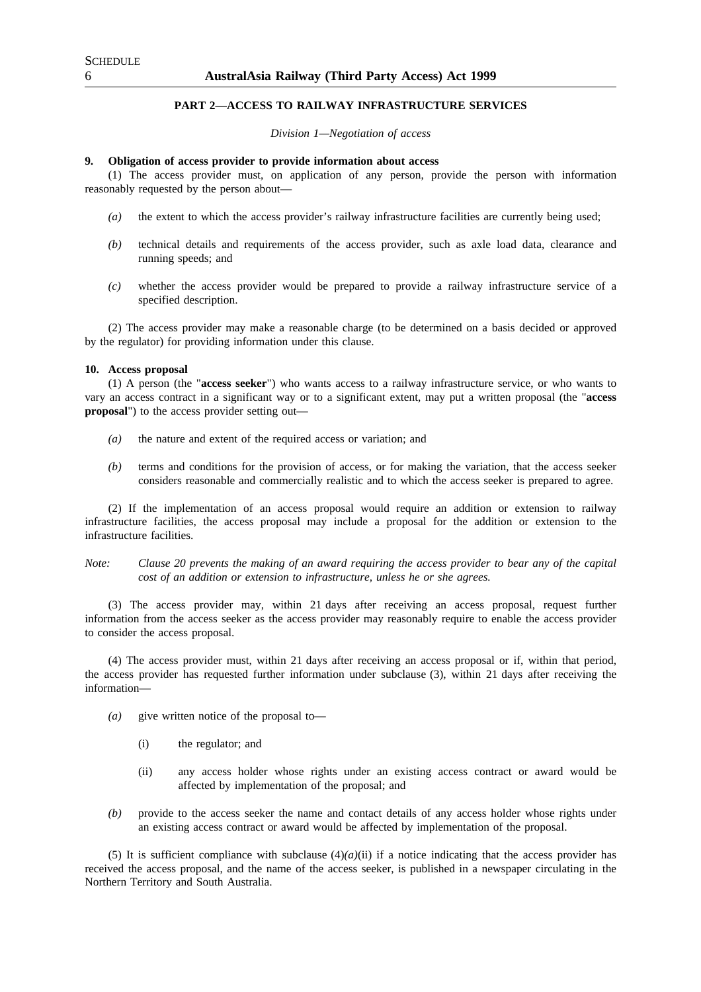## **PART 2—ACCESS TO RAILWAY INFRASTRUCTURE SERVICES**

*Division 1—Negotiation of access*

#### **9. Obligation of access provider to provide information about access**

(1) The access provider must, on application of any person, provide the person with information reasonably requested by the person about—

- *(a)* the extent to which the access provider's railway infrastructure facilities are currently being used;
- *(b)* technical details and requirements of the access provider, such as axle load data, clearance and running speeds; and
- *(c)* whether the access provider would be prepared to provide a railway infrastructure service of a specified description.

(2) The access provider may make a reasonable charge (to be determined on a basis decided or approved by the regulator) for providing information under this clause.

#### **10. Access proposal**

(1) A person (the "**access seeker**") who wants access to a railway infrastructure service, or who wants to vary an access contract in a significant way or to a significant extent, may put a written proposal (the "**access proposal**") to the access provider setting out—

- *(a)* the nature and extent of the required access or variation; and
- *(b)* terms and conditions for the provision of access, or for making the variation, that the access seeker considers reasonable and commercially realistic and to which the access seeker is prepared to agree.

(2) If the implementation of an access proposal would require an addition or extension to railway infrastructure facilities, the access proposal may include a proposal for the addition or extension to the infrastructure facilities.

*Note: Clause 20 prevents the making of an award requiring the access provider to bear any of the capital cost of an addition or extension to infrastructure, unless he or she agrees.*

(3) The access provider may, within 21 days after receiving an access proposal, request further information from the access seeker as the access provider may reasonably require to enable the access provider to consider the access proposal.

(4) The access provider must, within 21 days after receiving an access proposal or if, within that period, the access provider has requested further information under subclause (3), within 21 days after receiving the information—

- *(a)* give written notice of the proposal to—
	- (i) the regulator; and
	- (ii) any access holder whose rights under an existing access contract or award would be affected by implementation of the proposal; and
- *(b)* provide to the access seeker the name and contact details of any access holder whose rights under an existing access contract or award would be affected by implementation of the proposal.

(5) It is sufficient compliance with subclause  $(4)(a)(ii)$  if a notice indicating that the access provider has received the access proposal, and the name of the access seeker, is published in a newspaper circulating in the Northern Territory and South Australia.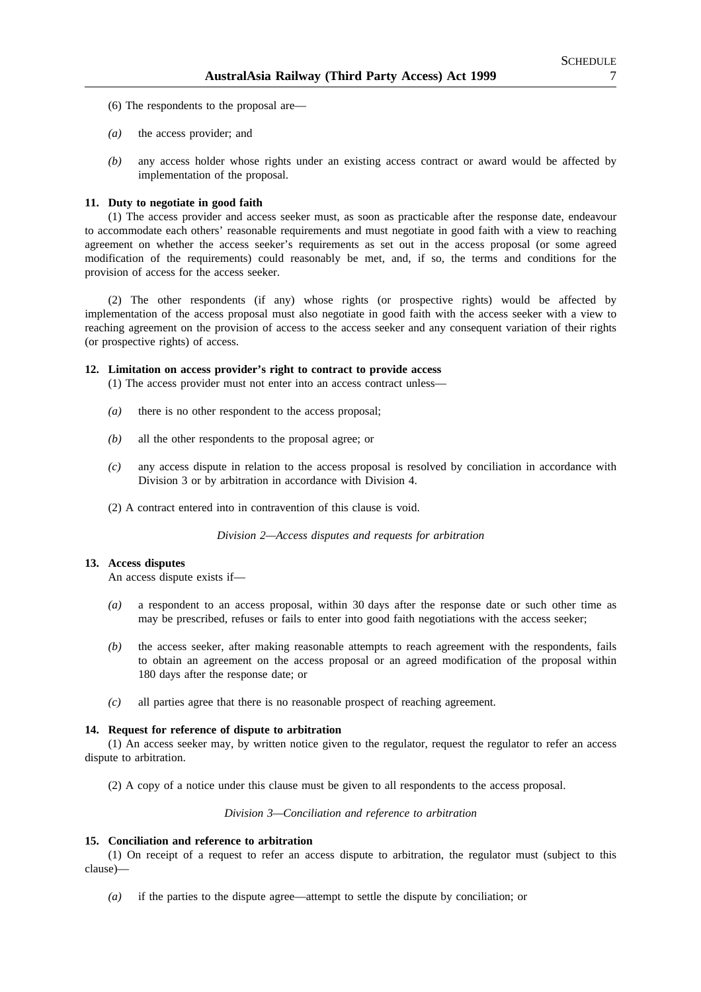- (6) The respondents to the proposal are—
- *(a)* the access provider; and
- *(b)* any access holder whose rights under an existing access contract or award would be affected by implementation of the proposal.

## **11. Duty to negotiate in good faith**

(1) The access provider and access seeker must, as soon as practicable after the response date, endeavour to accommodate each others' reasonable requirements and must negotiate in good faith with a view to reaching agreement on whether the access seeker's requirements as set out in the access proposal (or some agreed modification of the requirements) could reasonably be met, and, if so, the terms and conditions for the provision of access for the access seeker.

(2) The other respondents (if any) whose rights (or prospective rights) would be affected by implementation of the access proposal must also negotiate in good faith with the access seeker with a view to reaching agreement on the provision of access to the access seeker and any consequent variation of their rights (or prospective rights) of access.

## **12. Limitation on access provider's right to contract to provide access**

(1) The access provider must not enter into an access contract unless—

- *(a)* there is no other respondent to the access proposal;
- *(b)* all the other respondents to the proposal agree; or
- *(c)* any access dispute in relation to the access proposal is resolved by conciliation in accordance with Division 3 or by arbitration in accordance with Division 4.
- (2) A contract entered into in contravention of this clause is void.

*Division 2—Access disputes and requests for arbitration*

## **13. Access disputes**

An access dispute exists if—

- *(a)* a respondent to an access proposal, within 30 days after the response date or such other time as may be prescribed, refuses or fails to enter into good faith negotiations with the access seeker;
- *(b)* the access seeker, after making reasonable attempts to reach agreement with the respondents, fails to obtain an agreement on the access proposal or an agreed modification of the proposal within 180 days after the response date; or
- *(c)* all parties agree that there is no reasonable prospect of reaching agreement.

#### **14. Request for reference of dispute to arbitration**

(1) An access seeker may, by written notice given to the regulator, request the regulator to refer an access dispute to arbitration.

(2) A copy of a notice under this clause must be given to all respondents to the access proposal.

*Division 3—Conciliation and reference to arbitration*

#### **15. Conciliation and reference to arbitration**

(1) On receipt of a request to refer an access dispute to arbitration, the regulator must (subject to this clause)—

*(a)* if the parties to the dispute agree—attempt to settle the dispute by conciliation; or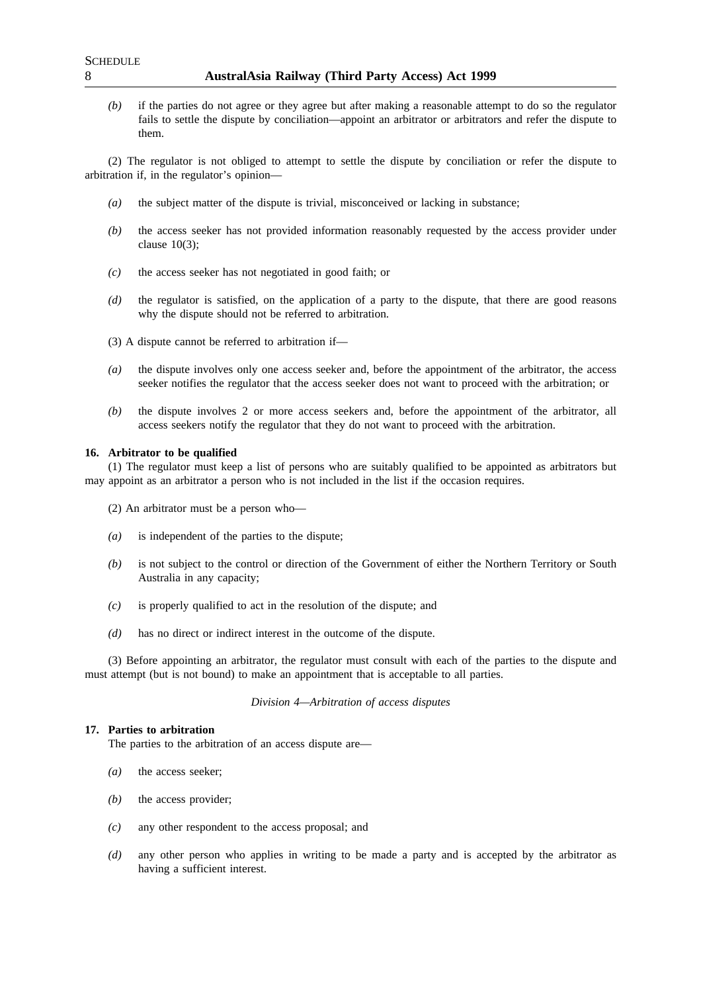*(b)* if the parties do not agree or they agree but after making a reasonable attempt to do so the regulator fails to settle the dispute by conciliation—appoint an arbitrator or arbitrators and refer the dispute to them.

(2) The regulator is not obliged to attempt to settle the dispute by conciliation or refer the dispute to arbitration if, in the regulator's opinion—

- *(a)* the subject matter of the dispute is trivial, misconceived or lacking in substance;
- *(b)* the access seeker has not provided information reasonably requested by the access provider under clause 10(3);
- *(c)* the access seeker has not negotiated in good faith; or
- *(d)* the regulator is satisfied, on the application of a party to the dispute, that there are good reasons why the dispute should not be referred to arbitration.
- (3) A dispute cannot be referred to arbitration if—
- *(a)* the dispute involves only one access seeker and, before the appointment of the arbitrator, the access seeker notifies the regulator that the access seeker does not want to proceed with the arbitration; or
- *(b)* the dispute involves 2 or more access seekers and, before the appointment of the arbitrator, all access seekers notify the regulator that they do not want to proceed with the arbitration.

#### **16. Arbitrator to be qualified**

(1) The regulator must keep a list of persons who are suitably qualified to be appointed as arbitrators but may appoint as an arbitrator a person who is not included in the list if the occasion requires.

- (2) An arbitrator must be a person who—
- *(a)* is independent of the parties to the dispute;
- *(b)* is not subject to the control or direction of the Government of either the Northern Territory or South Australia in any capacity;
- *(c)* is properly qualified to act in the resolution of the dispute; and
- *(d)* has no direct or indirect interest in the outcome of the dispute.

(3) Before appointing an arbitrator, the regulator must consult with each of the parties to the dispute and must attempt (but is not bound) to make an appointment that is acceptable to all parties.

#### *Division 4—Arbitration of access disputes*

## **17. Parties to arbitration**

The parties to the arbitration of an access dispute are—

- *(a)* the access seeker;
- *(b)* the access provider;
- *(c)* any other respondent to the access proposal; and
- *(d)* any other person who applies in writing to be made a party and is accepted by the arbitrator as having a sufficient interest.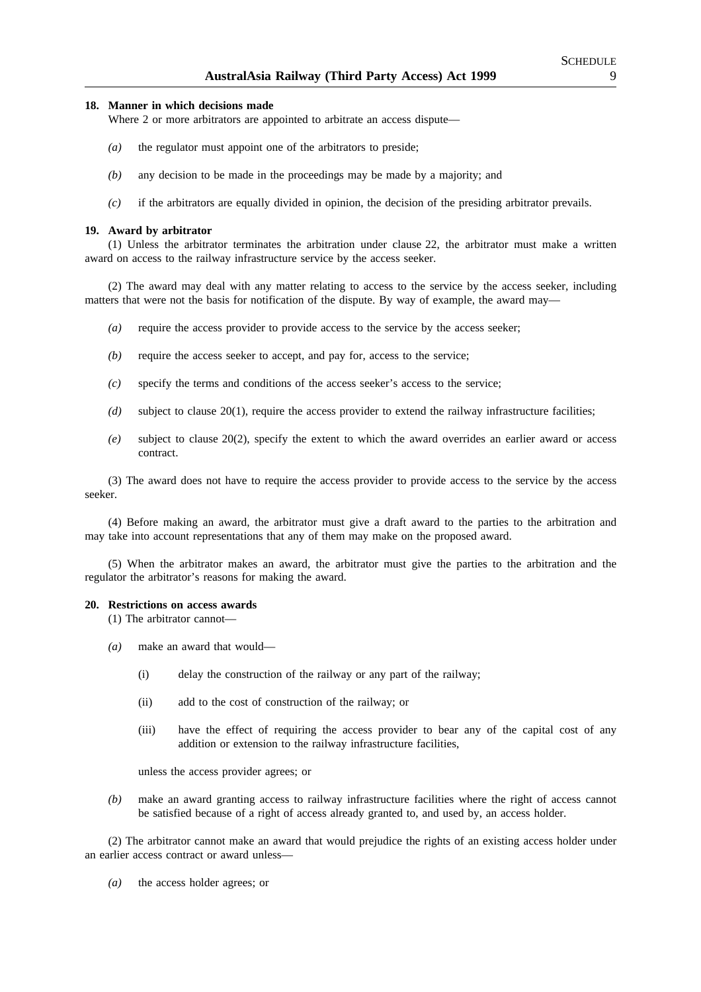#### **18. Manner in which decisions made**

Where 2 or more arbitrators are appointed to arbitrate an access dispute—

- *(a)* the regulator must appoint one of the arbitrators to preside;
- *(b)* any decision to be made in the proceedings may be made by a majority; and
- *(c)* if the arbitrators are equally divided in opinion, the decision of the presiding arbitrator prevails.

#### **19. Award by arbitrator**

(1) Unless the arbitrator terminates the arbitration under clause 22, the arbitrator must make a written award on access to the railway infrastructure service by the access seeker.

(2) The award may deal with any matter relating to access to the service by the access seeker, including matters that were not the basis for notification of the dispute. By way of example, the award may—

- *(a)* require the access provider to provide access to the service by the access seeker;
- *(b)* require the access seeker to accept, and pay for, access to the service;
- *(c)* specify the terms and conditions of the access seeker's access to the service;
- *(d)* subject to clause 20(1), require the access provider to extend the railway infrastructure facilities;
- *(e)* subject to clause 20(2), specify the extent to which the award overrides an earlier award or access contract.

(3) The award does not have to require the access provider to provide access to the service by the access seeker.

(4) Before making an award, the arbitrator must give a draft award to the parties to the arbitration and may take into account representations that any of them may make on the proposed award.

(5) When the arbitrator makes an award, the arbitrator must give the parties to the arbitration and the regulator the arbitrator's reasons for making the award.

#### **20. Restrictions on access awards**

(1) The arbitrator cannot—

- *(a)* make an award that would—
	- (i) delay the construction of the railway or any part of the railway;
	- (ii) add to the cost of construction of the railway; or
	- (iii) have the effect of requiring the access provider to bear any of the capital cost of any addition or extension to the railway infrastructure facilities,

unless the access provider agrees; or

*(b)* make an award granting access to railway infrastructure facilities where the right of access cannot be satisfied because of a right of access already granted to, and used by, an access holder.

(2) The arbitrator cannot make an award that would prejudice the rights of an existing access holder under an earlier access contract or award unless—

*(a)* the access holder agrees; or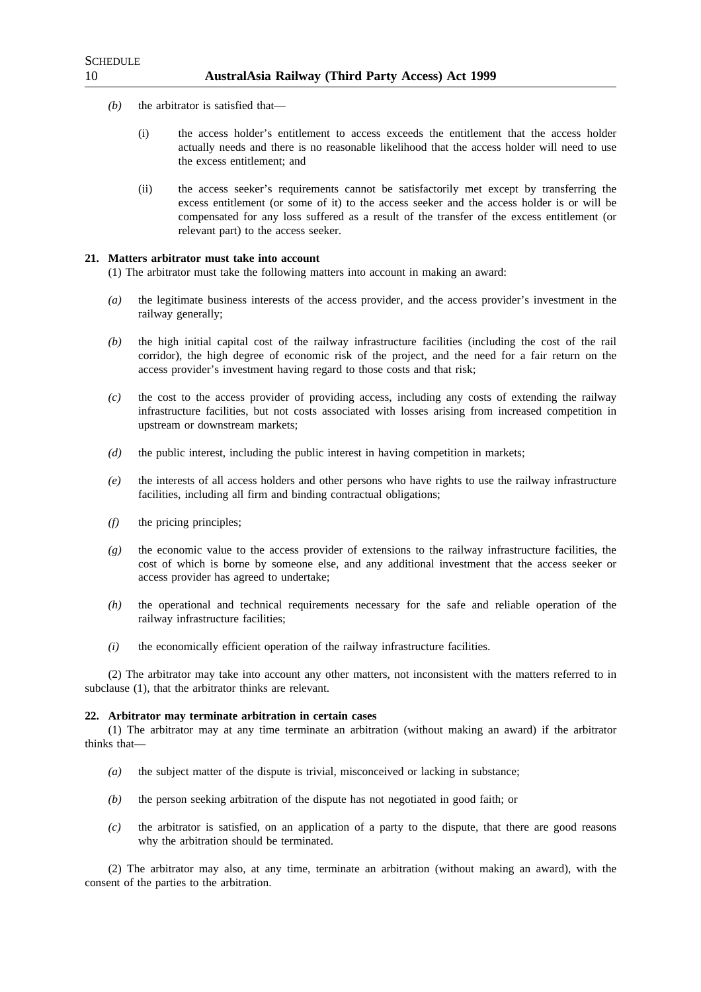- *(b)* the arbitrator is satisfied that—
	- (i) the access holder's entitlement to access exceeds the entitlement that the access holder actually needs and there is no reasonable likelihood that the access holder will need to use the excess entitlement; and
	- (ii) the access seeker's requirements cannot be satisfactorily met except by transferring the excess entitlement (or some of it) to the access seeker and the access holder is or will be compensated for any loss suffered as a result of the transfer of the excess entitlement (or relevant part) to the access seeker.

#### **21. Matters arbitrator must take into account**

(1) The arbitrator must take the following matters into account in making an award:

- *(a)* the legitimate business interests of the access provider, and the access provider's investment in the railway generally;
- *(b)* the high initial capital cost of the railway infrastructure facilities (including the cost of the rail corridor), the high degree of economic risk of the project, and the need for a fair return on the access provider's investment having regard to those costs and that risk;
- *(c)* the cost to the access provider of providing access, including any costs of extending the railway infrastructure facilities, but not costs associated with losses arising from increased competition in upstream or downstream markets;
- *(d)* the public interest, including the public interest in having competition in markets;
- *(e)* the interests of all access holders and other persons who have rights to use the railway infrastructure facilities, including all firm and binding contractual obligations;
- *(f)* the pricing principles;
- *(g)* the economic value to the access provider of extensions to the railway infrastructure facilities, the cost of which is borne by someone else, and any additional investment that the access seeker or access provider has agreed to undertake;
- *(h)* the operational and technical requirements necessary for the safe and reliable operation of the railway infrastructure facilities;
- *(i)* the economically efficient operation of the railway infrastructure facilities.

(2) The arbitrator may take into account any other matters, not inconsistent with the matters referred to in subclause (1), that the arbitrator thinks are relevant.

#### **22. Arbitrator may terminate arbitration in certain cases**

(1) The arbitrator may at any time terminate an arbitration (without making an award) if the arbitrator thinks that—

- *(a)* the subject matter of the dispute is trivial, misconceived or lacking in substance;
- *(b)* the person seeking arbitration of the dispute has not negotiated in good faith; or
- *(c)* the arbitrator is satisfied, on an application of a party to the dispute, that there are good reasons why the arbitration should be terminated.

(2) The arbitrator may also, at any time, terminate an arbitration (without making an award), with the consent of the parties to the arbitration.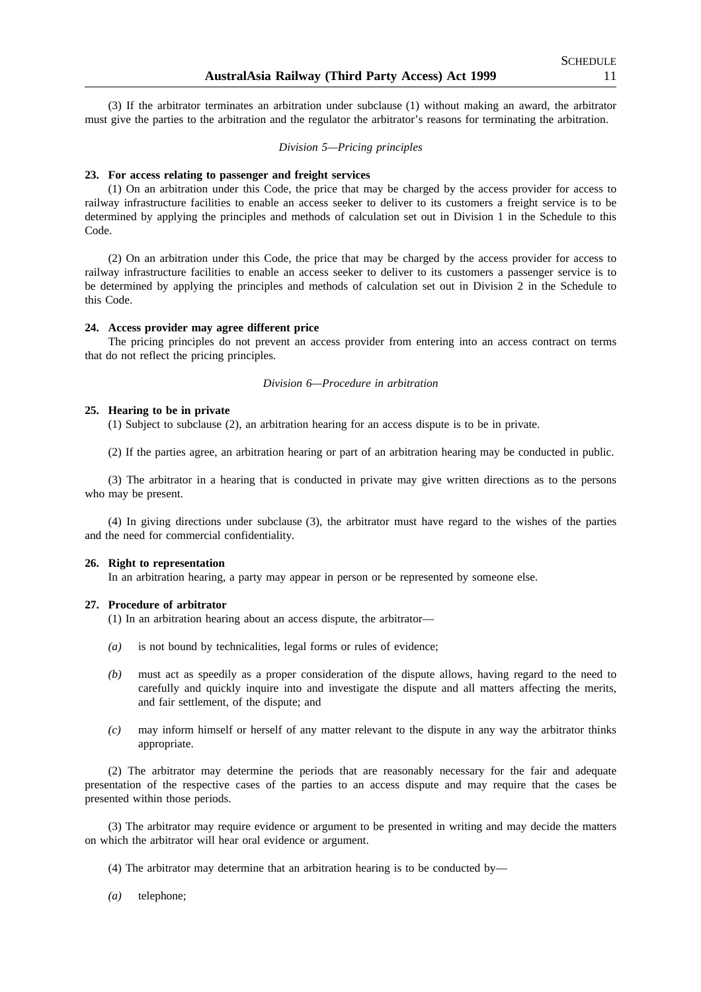(3) If the arbitrator terminates an arbitration under subclause (1) without making an award, the arbitrator must give the parties to the arbitration and the regulator the arbitrator's reasons for terminating the arbitration.

## *Division 5—Pricing principles*

#### **23. For access relating to passenger and freight services**

(1) On an arbitration under this Code, the price that may be charged by the access provider for access to railway infrastructure facilities to enable an access seeker to deliver to its customers a freight service is to be determined by applying the principles and methods of calculation set out in Division 1 in the Schedule to this Code.

(2) On an arbitration under this Code, the price that may be charged by the access provider for access to railway infrastructure facilities to enable an access seeker to deliver to its customers a passenger service is to be determined by applying the principles and methods of calculation set out in Division 2 in the Schedule to this Code.

#### **24. Access provider may agree different price**

The pricing principles do not prevent an access provider from entering into an access contract on terms that do not reflect the pricing principles.

#### *Division 6—Procedure in arbitration*

#### **25. Hearing to be in private**

(1) Subject to subclause (2), an arbitration hearing for an access dispute is to be in private.

(2) If the parties agree, an arbitration hearing or part of an arbitration hearing may be conducted in public.

(3) The arbitrator in a hearing that is conducted in private may give written directions as to the persons who may be present.

(4) In giving directions under subclause (3), the arbitrator must have regard to the wishes of the parties and the need for commercial confidentiality.

#### **26. Right to representation**

In an arbitration hearing, a party may appear in person or be represented by someone else.

#### **27. Procedure of arbitrator**

(1) In an arbitration hearing about an access dispute, the arbitrator—

- *(a)* is not bound by technicalities, legal forms or rules of evidence;
- *(b)* must act as speedily as a proper consideration of the dispute allows, having regard to the need to carefully and quickly inquire into and investigate the dispute and all matters affecting the merits, and fair settlement, of the dispute; and
- *(c)* may inform himself or herself of any matter relevant to the dispute in any way the arbitrator thinks appropriate.

(2) The arbitrator may determine the periods that are reasonably necessary for the fair and adequate presentation of the respective cases of the parties to an access dispute and may require that the cases be presented within those periods.

(3) The arbitrator may require evidence or argument to be presented in writing and may decide the matters on which the arbitrator will hear oral evidence or argument.

(4) The arbitrator may determine that an arbitration hearing is to be conducted by—

*(a)* telephone;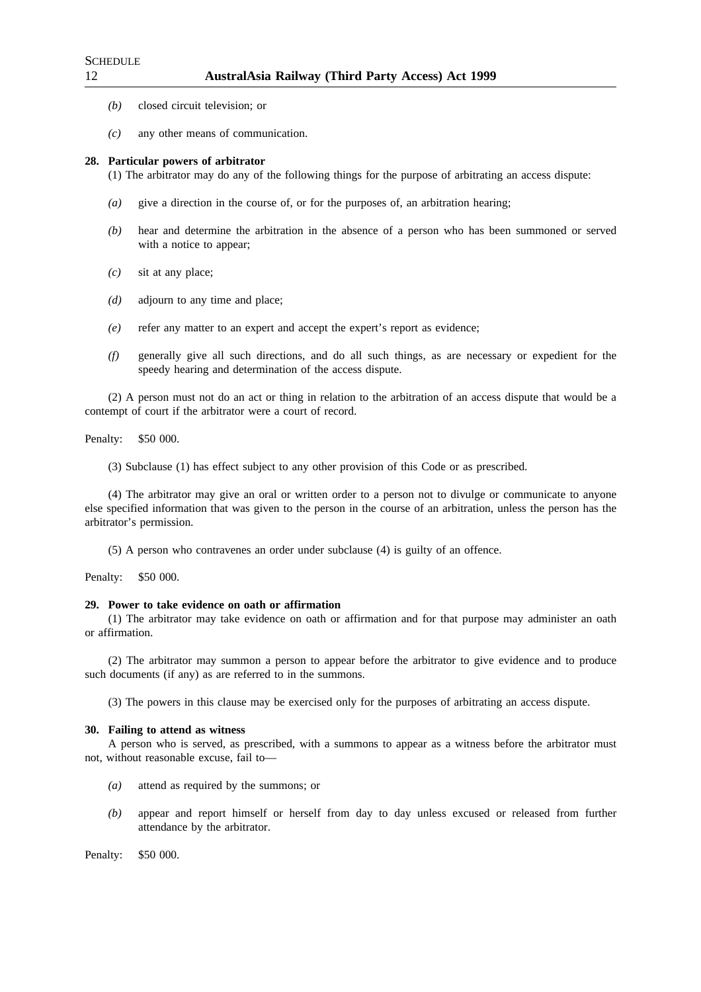- *(b)* closed circuit television; or
- *(c)* any other means of communication.

#### **28. Particular powers of arbitrator**

(1) The arbitrator may do any of the following things for the purpose of arbitrating an access dispute:

- *(a)* give a direction in the course of, or for the purposes of, an arbitration hearing;
- *(b)* hear and determine the arbitration in the absence of a person who has been summoned or served with a notice to appear;
- *(c)* sit at any place;
- *(d)* adjourn to any time and place;
- *(e)* refer any matter to an expert and accept the expert's report as evidence;
- *(f)* generally give all such directions, and do all such things, as are necessary or expedient for the speedy hearing and determination of the access dispute.

(2) A person must not do an act or thing in relation to the arbitration of an access dispute that would be a contempt of court if the arbitrator were a court of record.

Penalty: \$50 000.

(3) Subclause (1) has effect subject to any other provision of this Code or as prescribed.

(4) The arbitrator may give an oral or written order to a person not to divulge or communicate to anyone else specified information that was given to the person in the course of an arbitration, unless the person has the arbitrator's permission.

(5) A person who contravenes an order under subclause (4) is guilty of an offence.

Penalty: \$50 000.

#### **29. Power to take evidence on oath or affirmation**

(1) The arbitrator may take evidence on oath or affirmation and for that purpose may administer an oath or affirmation.

(2) The arbitrator may summon a person to appear before the arbitrator to give evidence and to produce such documents (if any) as are referred to in the summons.

(3) The powers in this clause may be exercised only for the purposes of arbitrating an access dispute.

#### **30. Failing to attend as witness**

A person who is served, as prescribed, with a summons to appear as a witness before the arbitrator must not, without reasonable excuse, fail to—

- *(a)* attend as required by the summons; or
- *(b)* appear and report himself or herself from day to day unless excused or released from further attendance by the arbitrator.

Penalty: \$50 000.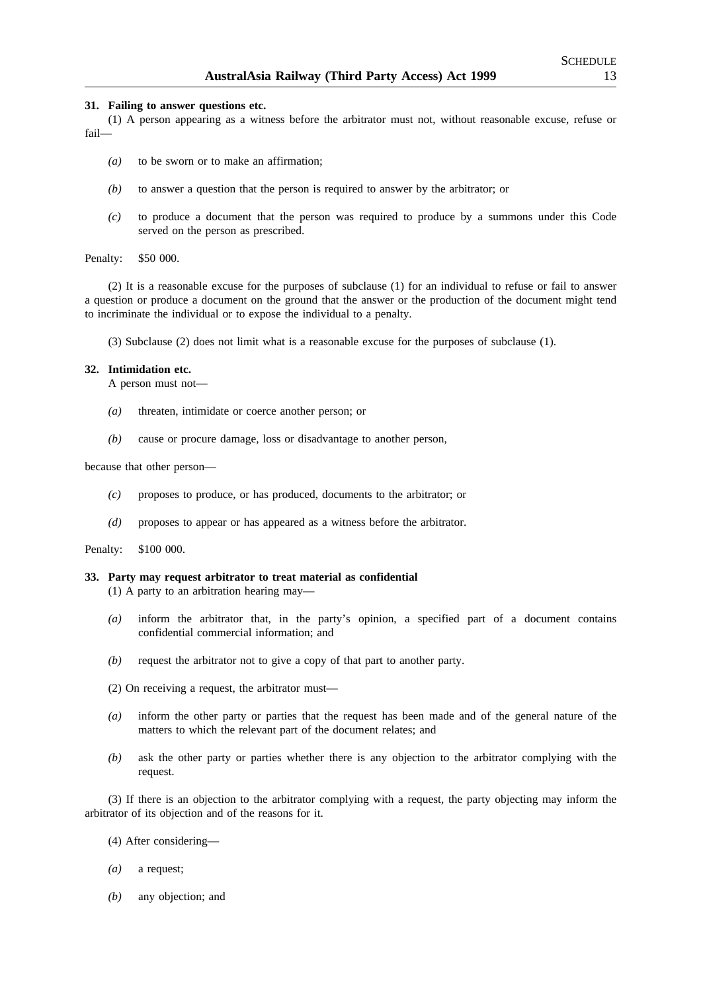#### **31. Failing to answer questions etc.**

(1) A person appearing as a witness before the arbitrator must not, without reasonable excuse, refuse or fail—

- *(a)* to be sworn or to make an affirmation;
- *(b)* to answer a question that the person is required to answer by the arbitrator; or
- *(c)* to produce a document that the person was required to produce by a summons under this Code served on the person as prescribed.

Penalty: \$50 000.

(2) It is a reasonable excuse for the purposes of subclause (1) for an individual to refuse or fail to answer a question or produce a document on the ground that the answer or the production of the document might tend to incriminate the individual or to expose the individual to a penalty.

(3) Subclause (2) does not limit what is a reasonable excuse for the purposes of subclause (1).

#### **32. Intimidation etc.**

A person must not—

- *(a)* threaten, intimidate or coerce another person; or
- *(b)* cause or procure damage, loss or disadvantage to another person,

because that other person—

- *(c)* proposes to produce, or has produced, documents to the arbitrator; or
- *(d)* proposes to appear or has appeared as a witness before the arbitrator.

Penalty: \$100 000.

#### **33. Party may request arbitrator to treat material as confidential**

- (1) A party to an arbitration hearing may—
- *(a)* inform the arbitrator that, in the party's opinion, a specified part of a document contains confidential commercial information; and
- *(b)* request the arbitrator not to give a copy of that part to another party.
- (2) On receiving a request, the arbitrator must—
- *(a)* inform the other party or parties that the request has been made and of the general nature of the matters to which the relevant part of the document relates; and
- *(b)* ask the other party or parties whether there is any objection to the arbitrator complying with the request.

(3) If there is an objection to the arbitrator complying with a request, the party objecting may inform the arbitrator of its objection and of the reasons for it.

(4) After considering—

- *(a)* a request;
- *(b)* any objection; and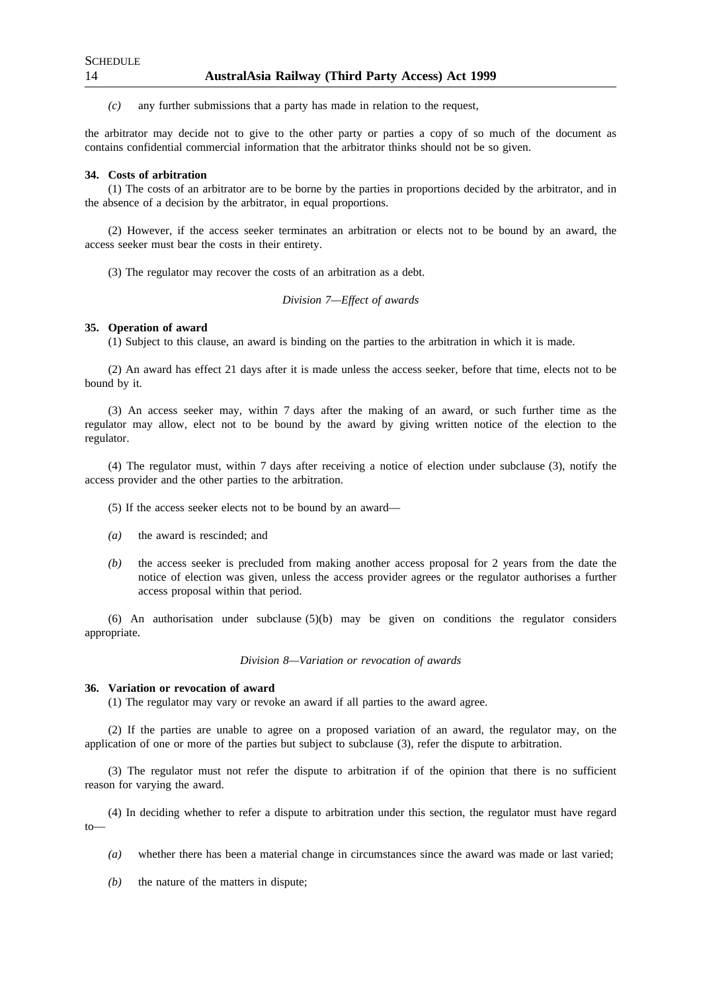*(c)* any further submissions that a party has made in relation to the request,

the arbitrator may decide not to give to the other party or parties a copy of so much of the document as contains confidential commercial information that the arbitrator thinks should not be so given.

#### **34. Costs of arbitration**

(1) The costs of an arbitrator are to be borne by the parties in proportions decided by the arbitrator, and in the absence of a decision by the arbitrator, in equal proportions.

(2) However, if the access seeker terminates an arbitration or elects not to be bound by an award, the access seeker must bear the costs in their entirety.

(3) The regulator may recover the costs of an arbitration as a debt.

#### *Division 7—Effect of awards*

## **35. Operation of award**

(1) Subject to this clause, an award is binding on the parties to the arbitration in which it is made.

(2) An award has effect 21 days after it is made unless the access seeker, before that time, elects not to be bound by it.

(3) An access seeker may, within 7 days after the making of an award, or such further time as the regulator may allow, elect not to be bound by the award by giving written notice of the election to the regulator.

(4) The regulator must, within 7 days after receiving a notice of election under subclause (3), notify the access provider and the other parties to the arbitration.

(5) If the access seeker elects not to be bound by an award—

- *(a)* the award is rescinded; and
- *(b)* the access seeker is precluded from making another access proposal for 2 years from the date the notice of election was given, unless the access provider agrees or the regulator authorises a further access proposal within that period.

(6) An authorisation under subclause (5)(b) may be given on conditions the regulator considers appropriate.

*Division 8—Variation or revocation of awards*

#### **36. Variation or revocation of award**

(1) The regulator may vary or revoke an award if all parties to the award agree.

(2) If the parties are unable to agree on a proposed variation of an award, the regulator may, on the application of one or more of the parties but subject to subclause (3), refer the dispute to arbitration.

(3) The regulator must not refer the dispute to arbitration if of the opinion that there is no sufficient reason for varying the award.

(4) In deciding whether to refer a dispute to arbitration under this section, the regulator must have regard to—

- *(a)* whether there has been a material change in circumstances since the award was made or last varied;
- *(b)* the nature of the matters in dispute;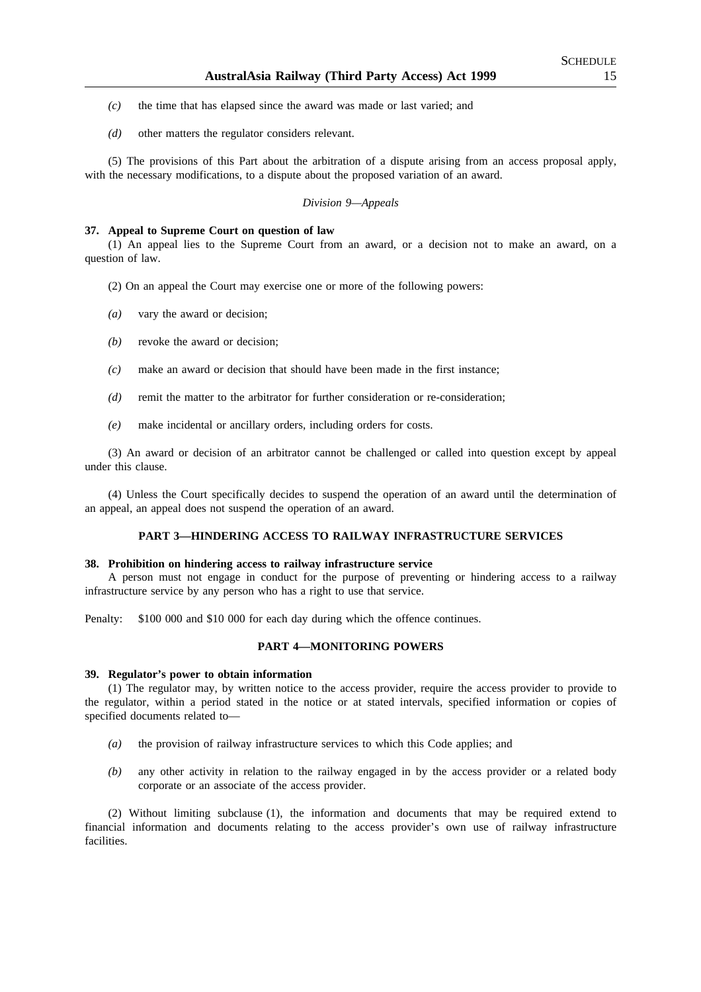- *(c)* the time that has elapsed since the award was made or last varied; and
- *(d)* other matters the regulator considers relevant.

(5) The provisions of this Part about the arbitration of a dispute arising from an access proposal apply, with the necessary modifications, to a dispute about the proposed variation of an award.

## *Division 9—Appeals*

#### **37. Appeal to Supreme Court on question of law**

(1) An appeal lies to the Supreme Court from an award, or a decision not to make an award, on a question of law.

- (2) On an appeal the Court may exercise one or more of the following powers:
- *(a)* vary the award or decision;
- *(b)* revoke the award or decision;
- *(c)* make an award or decision that should have been made in the first instance;
- *(d)* remit the matter to the arbitrator for further consideration or re-consideration;
- *(e)* make incidental or ancillary orders, including orders for costs.

(3) An award or decision of an arbitrator cannot be challenged or called into question except by appeal under this clause.

(4) Unless the Court specifically decides to suspend the operation of an award until the determination of an appeal, an appeal does not suspend the operation of an award.

## **PART 3—HINDERING ACCESS TO RAILWAY INFRASTRUCTURE SERVICES**

#### **38. Prohibition on hindering access to railway infrastructure service**

A person must not engage in conduct for the purpose of preventing or hindering access to a railway infrastructure service by any person who has a right to use that service.

Penalty: \$100 000 and \$10 000 for each day during which the offence continues.

## **PART 4—MONITORING POWERS**

#### **39. Regulator's power to obtain information**

(1) The regulator may, by written notice to the access provider, require the access provider to provide to the regulator, within a period stated in the notice or at stated intervals, specified information or copies of specified documents related to—

- *(a)* the provision of railway infrastructure services to which this Code applies; and
- *(b)* any other activity in relation to the railway engaged in by the access provider or a related body corporate or an associate of the access provider.

(2) Without limiting subclause (1), the information and documents that may be required extend to financial information and documents relating to the access provider's own use of railway infrastructure facilities.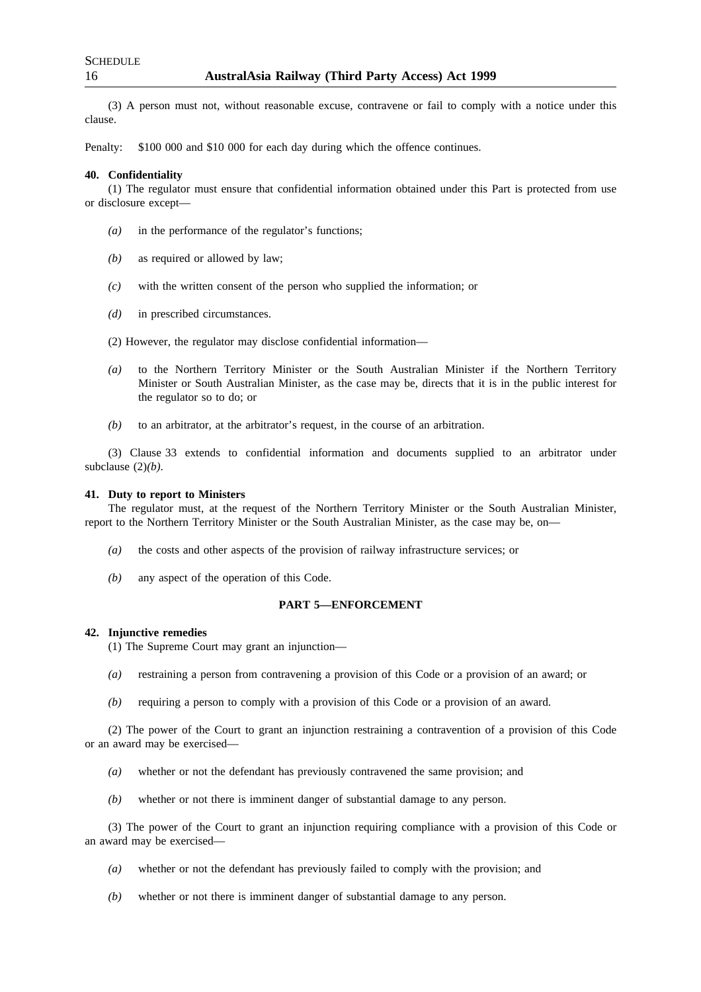(3) A person must not, without reasonable excuse, contravene or fail to comply with a notice under this clause.

Penalty: \$100 000 and \$10 000 for each day during which the offence continues.

#### **40. Confidentiality**

(1) The regulator must ensure that confidential information obtained under this Part is protected from use or disclosure except—

- *(a)* in the performance of the regulator's functions;
- *(b)* as required or allowed by law;
- *(c)* with the written consent of the person who supplied the information; or
- *(d)* in prescribed circumstances.
- (2) However, the regulator may disclose confidential information—
- *(a)* to the Northern Territory Minister or the South Australian Minister if the Northern Territory Minister or South Australian Minister, as the case may be, directs that it is in the public interest for the regulator so to do; or
- *(b)* to an arbitrator, at the arbitrator's request, in the course of an arbitration.

(3) Clause 33 extends to confidential information and documents supplied to an arbitrator under subclause  $(2)(b)$ .

#### **41. Duty to report to Ministers**

The regulator must, at the request of the Northern Territory Minister or the South Australian Minister, report to the Northern Territory Minister or the South Australian Minister, as the case may be, on—

- *(a)* the costs and other aspects of the provision of railway infrastructure services; or
- *(b)* any aspect of the operation of this Code.

## **PART 5—ENFORCEMENT**

#### **42. Injunctive remedies**

(1) The Supreme Court may grant an injunction—

- *(a)* restraining a person from contravening a provision of this Code or a provision of an award; or
- *(b)* requiring a person to comply with a provision of this Code or a provision of an award.

(2) The power of the Court to grant an injunction restraining a contravention of a provision of this Code or an award may be exercised—

- *(a)* whether or not the defendant has previously contravened the same provision; and
- *(b)* whether or not there is imminent danger of substantial damage to any person.

(3) The power of the Court to grant an injunction requiring compliance with a provision of this Code or an award may be exercised—

- *(a)* whether or not the defendant has previously failed to comply with the provision; and
- *(b)* whether or not there is imminent danger of substantial damage to any person.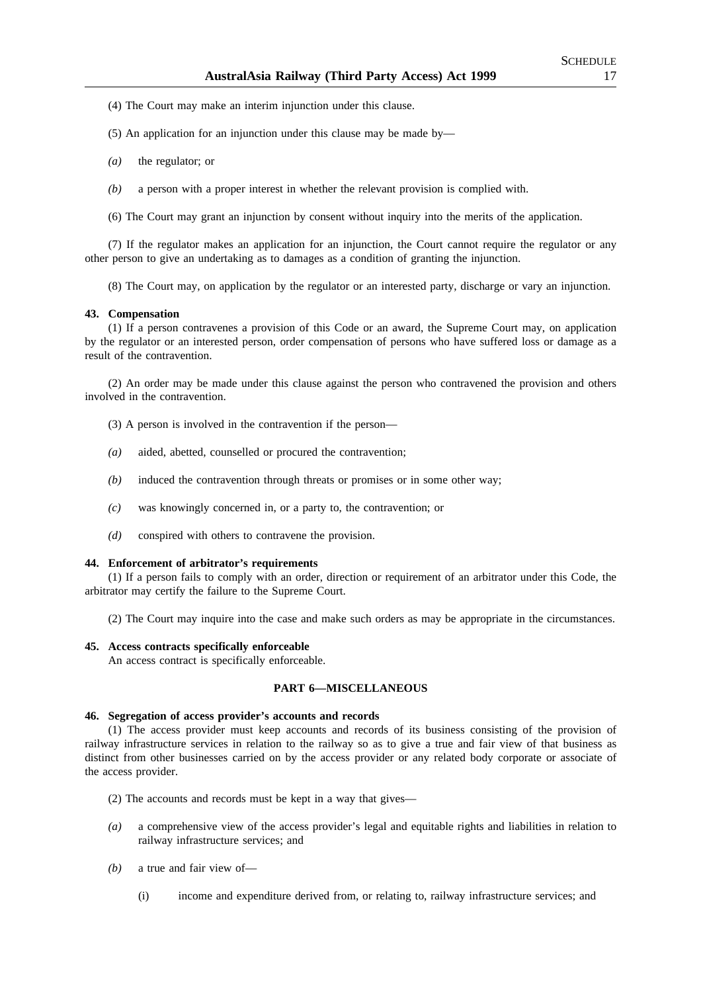- (4) The Court may make an interim injunction under this clause.
- (5) An application for an injunction under this clause may be made by—
- *(a)* the regulator; or
- *(b)* a person with a proper interest in whether the relevant provision is complied with.
- (6) The Court may grant an injunction by consent without inquiry into the merits of the application.

(7) If the regulator makes an application for an injunction, the Court cannot require the regulator or any other person to give an undertaking as to damages as a condition of granting the injunction.

(8) The Court may, on application by the regulator or an interested party, discharge or vary an injunction.

#### **43. Compensation**

(1) If a person contravenes a provision of this Code or an award, the Supreme Court may, on application by the regulator or an interested person, order compensation of persons who have suffered loss or damage as a result of the contravention.

(2) An order may be made under this clause against the person who contravened the provision and others involved in the contravention.

- (3) A person is involved in the contravention if the person—
- *(a)* aided, abetted, counselled or procured the contravention;
- *(b)* induced the contravention through threats or promises or in some other way;
- *(c)* was knowingly concerned in, or a party to, the contravention; or
- *(d)* conspired with others to contravene the provision.

#### **44. Enforcement of arbitrator's requirements**

(1) If a person fails to comply with an order, direction or requirement of an arbitrator under this Code, the arbitrator may certify the failure to the Supreme Court.

(2) The Court may inquire into the case and make such orders as may be appropriate in the circumstances.

#### **45. Access contracts specifically enforceable**

An access contract is specifically enforceable.

## **PART 6—MISCELLANEOUS**

#### **46. Segregation of access provider's accounts and records**

(1) The access provider must keep accounts and records of its business consisting of the provision of railway infrastructure services in relation to the railway so as to give a true and fair view of that business as distinct from other businesses carried on by the access provider or any related body corporate or associate of the access provider.

- (2) The accounts and records must be kept in a way that gives—
- *(a)* a comprehensive view of the access provider's legal and equitable rights and liabilities in relation to railway infrastructure services; and
- *(b)* a true and fair view of—
	- (i) income and expenditure derived from, or relating to, railway infrastructure services; and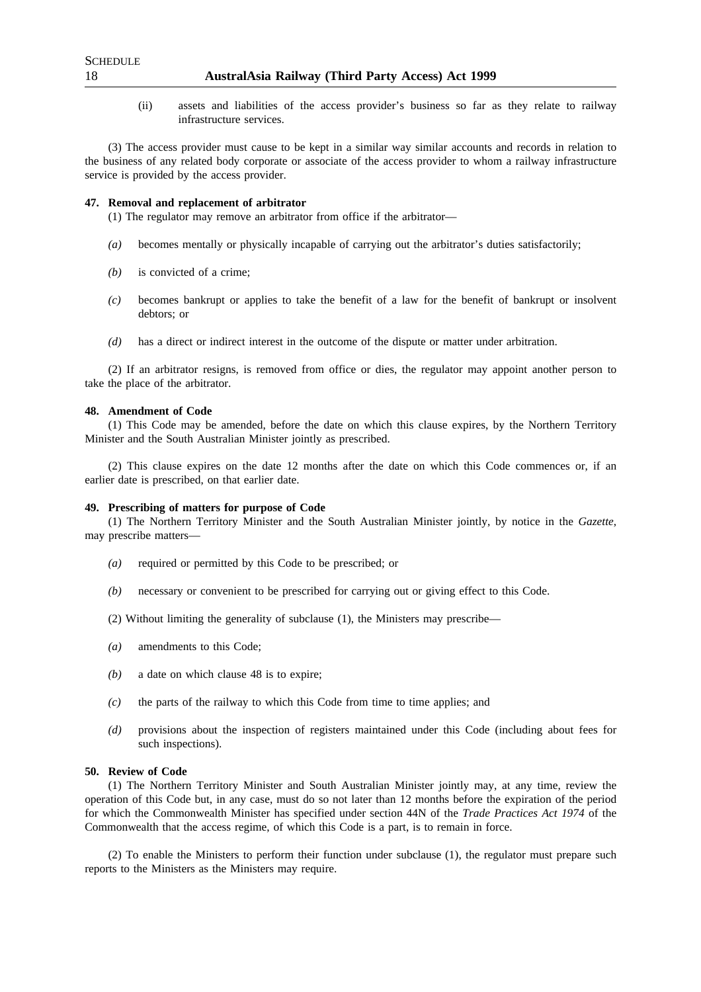(ii) assets and liabilities of the access provider's business so far as they relate to railway infrastructure services.

(3) The access provider must cause to be kept in a similar way similar accounts and records in relation to the business of any related body corporate or associate of the access provider to whom a railway infrastructure service is provided by the access provider.

#### **47. Removal and replacement of arbitrator**

(1) The regulator may remove an arbitrator from office if the arbitrator—

- *(a)* becomes mentally or physically incapable of carrying out the arbitrator's duties satisfactorily;
- *(b)* is convicted of a crime;
- *(c)* becomes bankrupt or applies to take the benefit of a law for the benefit of bankrupt or insolvent debtors; or
- *(d)* has a direct or indirect interest in the outcome of the dispute or matter under arbitration.

(2) If an arbitrator resigns, is removed from office or dies, the regulator may appoint another person to take the place of the arbitrator.

#### **48. Amendment of Code**

(1) This Code may be amended, before the date on which this clause expires, by the Northern Territory Minister and the South Australian Minister jointly as prescribed.

(2) This clause expires on the date 12 months after the date on which this Code commences or, if an earlier date is prescribed, on that earlier date.

#### **49. Prescribing of matters for purpose of Code**

(1) The Northern Territory Minister and the South Australian Minister jointly, by notice in the *Gazette*, may prescribe matters—

- *(a)* required or permitted by this Code to be prescribed; or
- *(b)* necessary or convenient to be prescribed for carrying out or giving effect to this Code.
- (2) Without limiting the generality of subclause (1), the Ministers may prescribe—
- *(a)* amendments to this Code;
- *(b)* a date on which clause 48 is to expire;
- *(c)* the parts of the railway to which this Code from time to time applies; and
- *(d)* provisions about the inspection of registers maintained under this Code (including about fees for such inspections).

## **50. Review of Code**

(1) The Northern Territory Minister and South Australian Minister jointly may, at any time, review the operation of this Code but, in any case, must do so not later than 12 months before the expiration of the period for which the Commonwealth Minister has specified under section 44N of the *Trade Practices Act 1974* of the Commonwealth that the access regime, of which this Code is a part, is to remain in force.

(2) To enable the Ministers to perform their function under subclause (1), the regulator must prepare such reports to the Ministers as the Ministers may require.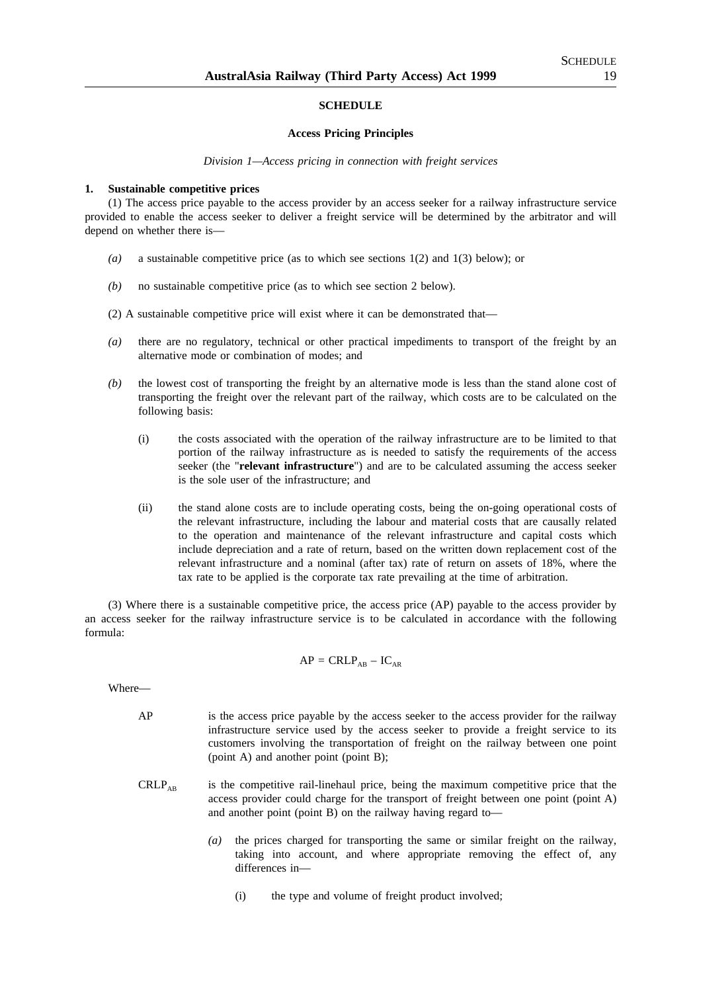#### **SCHEDULE**

#### **Access Pricing Principles**

*Division 1—Access pricing in connection with freight services*

#### **1. Sustainable competitive prices**

(1) The access price payable to the access provider by an access seeker for a railway infrastructure service provided to enable the access seeker to deliver a freight service will be determined by the arbitrator and will depend on whether there is—

- *(a)* a sustainable competitive price (as to which see sections 1(2) and 1(3) below); or
- *(b)* no sustainable competitive price (as to which see section 2 below).
- (2) A sustainable competitive price will exist where it can be demonstrated that—
- *(a)* there are no regulatory, technical or other practical impediments to transport of the freight by an alternative mode or combination of modes; and
- *(b)* the lowest cost of transporting the freight by an alternative mode is less than the stand alone cost of transporting the freight over the relevant part of the railway, which costs are to be calculated on the following basis:
	- (i) the costs associated with the operation of the railway infrastructure are to be limited to that portion of the railway infrastructure as is needed to satisfy the requirements of the access seeker (the "**relevant infrastructure**") and are to be calculated assuming the access seeker is the sole user of the infrastructure; and
	- (ii) the stand alone costs are to include operating costs, being the on-going operational costs of the relevant infrastructure, including the labour and material costs that are causally related to the operation and maintenance of the relevant infrastructure and capital costs which include depreciation and a rate of return, based on the written down replacement cost of the relevant infrastructure and a nominal (after tax) rate of return on assets of 18%, where the tax rate to be applied is the corporate tax rate prevailing at the time of arbitration.

(3) Where there is a sustainable competitive price, the access price (AP) payable to the access provider by an access seeker for the railway infrastructure service is to be calculated in accordance with the following formula:

$$
AP = CRLP_{AB} - IC_{AR}
$$

Where—

- AP is the access price payable by the access seeker to the access provider for the railway infrastructure service used by the access seeker to provide a freight service to its customers involving the transportation of freight on the railway between one point (point A) and another point (point B);
- $CRLP<sub>AR</sub>$  is the competitive rail-linehaul price, being the maximum competitive price that the access provider could charge for the transport of freight between one point (point A) and another point (point B) on the railway having regard to—
	- *(a)* the prices charged for transporting the same or similar freight on the railway, taking into account, and where appropriate removing the effect of, any differences in—
		- (i) the type and volume of freight product involved;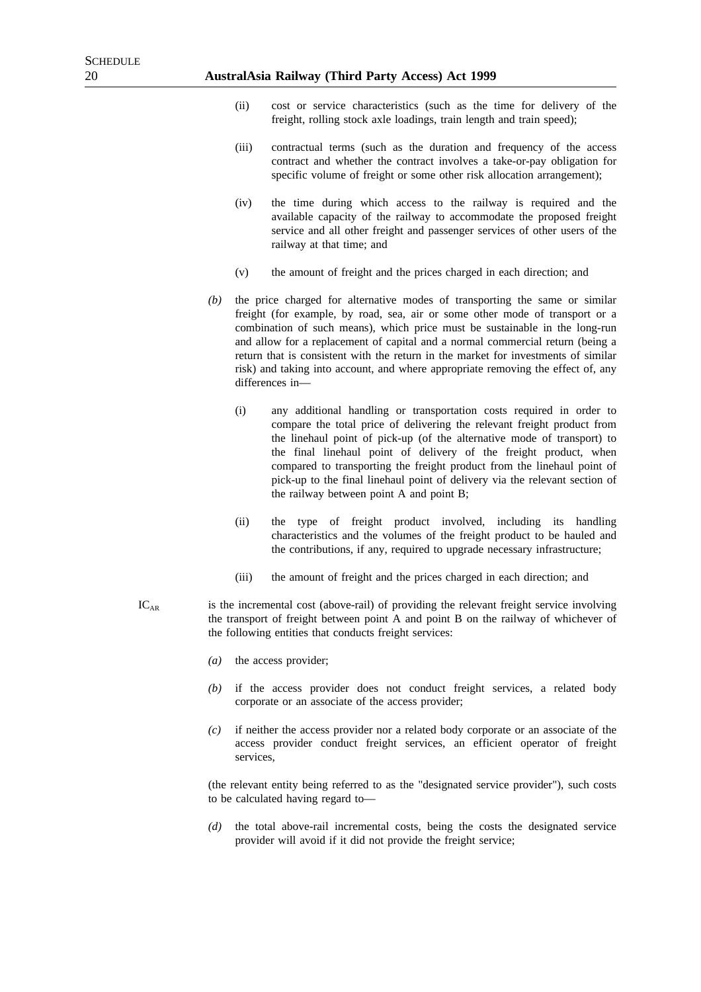- (ii) cost or service characteristics (such as the time for delivery of the freight, rolling stock axle loadings, train length and train speed);
- (iii) contractual terms (such as the duration and frequency of the access contract and whether the contract involves a take-or-pay obligation for specific volume of freight or some other risk allocation arrangement);
- (iv) the time during which access to the railway is required and the available capacity of the railway to accommodate the proposed freight service and all other freight and passenger services of other users of the railway at that time; and
- (v) the amount of freight and the prices charged in each direction; and
- *(b)* the price charged for alternative modes of transporting the same or similar freight (for example, by road, sea, air or some other mode of transport or a combination of such means), which price must be sustainable in the long-run and allow for a replacement of capital and a normal commercial return (being a return that is consistent with the return in the market for investments of similar risk) and taking into account, and where appropriate removing the effect of, any differences in—
	- (i) any additional handling or transportation costs required in order to compare the total price of delivering the relevant freight product from the linehaul point of pick-up (of the alternative mode of transport) to the final linehaul point of delivery of the freight product, when compared to transporting the freight product from the linehaul point of pick-up to the final linehaul point of delivery via the relevant section of the railway between point A and point B;
	- (ii) the type of freight product involved, including its handling characteristics and the volumes of the freight product to be hauled and the contributions, if any, required to upgrade necessary infrastructure;
	- (iii) the amount of freight and the prices charged in each direction; and
- $IC<sub>AR</sub>$  is the incremental cost (above-rail) of providing the relevant freight service involving the transport of freight between point A and point B on the railway of whichever of the following entities that conducts freight services:
	- *(a)* the access provider;
	- *(b)* if the access provider does not conduct freight services, a related body corporate or an associate of the access provider;
	- *(c)* if neither the access provider nor a related body corporate or an associate of the access provider conduct freight services, an efficient operator of freight services,

(the relevant entity being referred to as the "designated service provider"), such costs to be calculated having regard to—

*(d)* the total above-rail incremental costs, being the costs the designated service provider will avoid if it did not provide the freight service;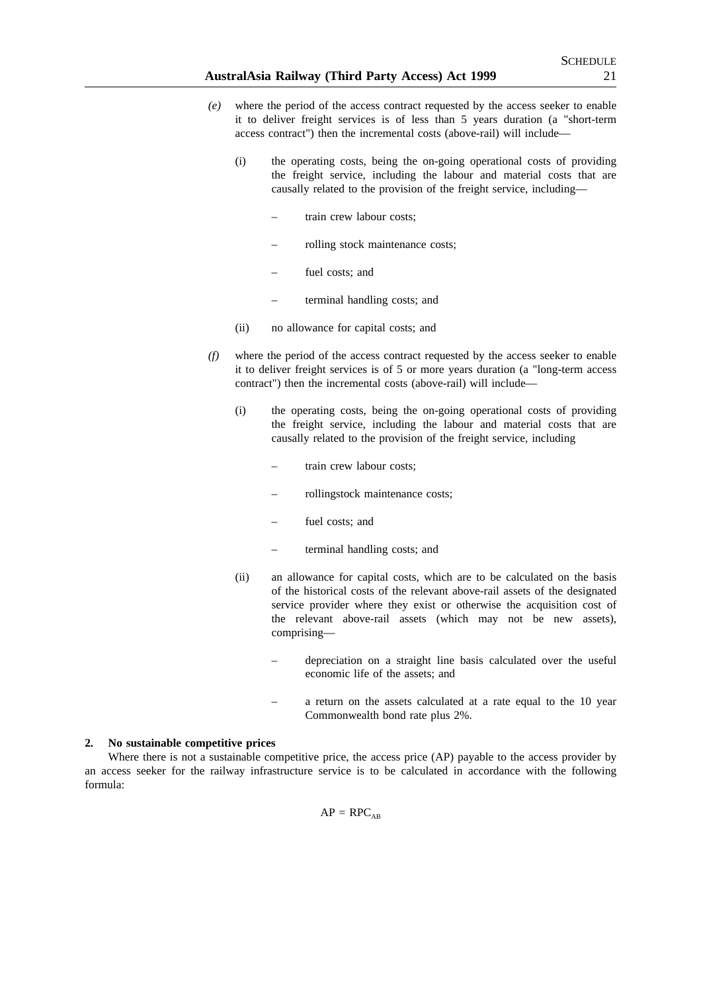- *(e)* where the period of the access contract requested by the access seeker to enable it to deliver freight services is of less than 5 years duration (a "short-term access contract") then the incremental costs (above-rail) will include—
	- (i) the operating costs, being the on-going operational costs of providing the freight service, including the labour and material costs that are causally related to the provision of the freight service, including
		- train crew labour costs;
		- rolling stock maintenance costs;
		- fuel costs: and
		- terminal handling costs; and
	- (ii) no allowance for capital costs; and
- *(f)* where the period of the access contract requested by the access seeker to enable it to deliver freight services is of 5 or more years duration (a "long-term access contract") then the incremental costs (above-rail) will include—
	- (i) the operating costs, being the on-going operational costs of providing the freight service, including the labour and material costs that are causally related to the provision of the freight service, including
		- train crew labour costs;
		- rollingstock maintenance costs;
		- fuel costs; and
		- terminal handling costs; and
	- (ii) an allowance for capital costs, which are to be calculated on the basis of the historical costs of the relevant above-rail assets of the designated service provider where they exist or otherwise the acquisition cost of the relevant above-rail assets (which may not be new assets), comprising—
		- depreciation on a straight line basis calculated over the useful economic life of the assets; and
		- a return on the assets calculated at a rate equal to the 10 year Commonwealth bond rate plus 2%.

#### **2. No sustainable competitive prices**

Where there is not a sustainable competitive price, the access price (AP) payable to the access provider by an access seeker for the railway infrastructure service is to be calculated in accordance with the following formula:

 $AP = RPC_{AP}$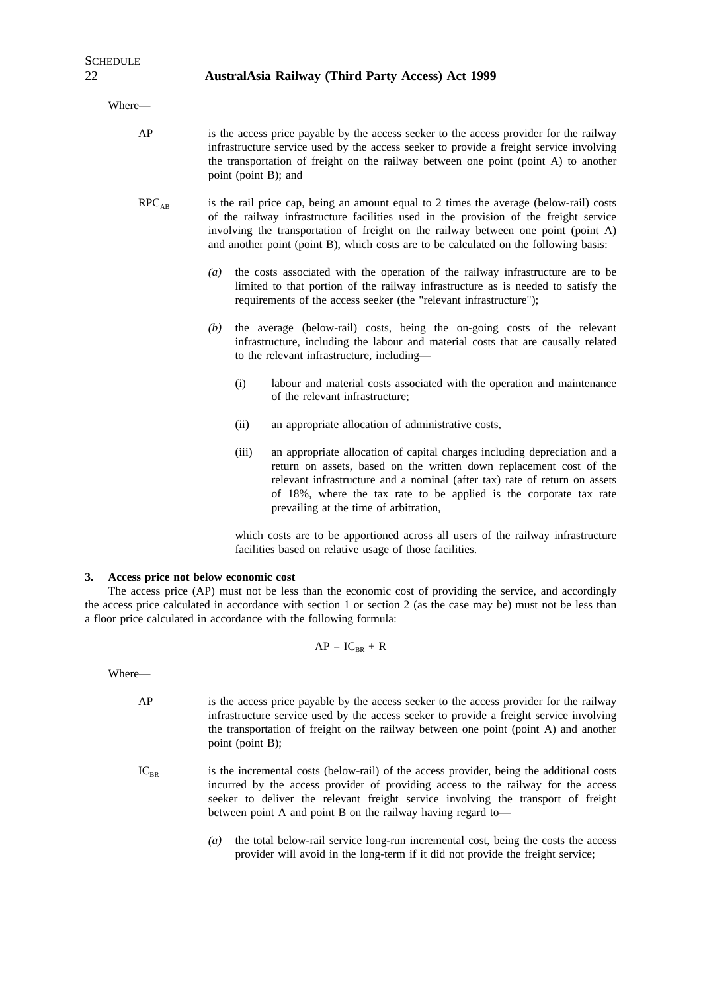| Where-            |                                                                                                                                                                                                                                                                                                                                                                |
|-------------------|----------------------------------------------------------------------------------------------------------------------------------------------------------------------------------------------------------------------------------------------------------------------------------------------------------------------------------------------------------------|
| AP                | is the access price payable by the access seeker to the access provider for the railway<br>infrastructure service used by the access seeker to provide a freight service involving<br>the transportation of freight on the railway between one point (point A) to another<br>point (point B); and                                                              |
| RPC <sub>AB</sub> | is the rail price cap, being an amount equal to 2 times the average (below-rail) costs<br>of the railway infrastructure facilities used in the provision of the freight service<br>involving the transportation of freight on the railway between one point (point A)<br>and another point (point B), which costs are to be calculated on the following basis: |
|                   | the costs associated with the operation of the railway infrastructure are to be<br>$\left( a\right)$<br>limited to that portion of the railway infrastructure as is needed to satisfy the<br>requirements of the access seeker (the "relevant infrastructure");                                                                                                |
|                   | the average (below-rail) costs, being the on-going costs of the relevant<br>(b)<br>infrastructure, including the labour and material costs that are causally related<br>to the relevant infrastructure, including-                                                                                                                                             |
|                   | (i)<br>labour and material costs associated with the operation and maintenance<br>of the relevant infrastructure;                                                                                                                                                                                                                                              |
|                   | an appropriate allocation of administrative costs,<br>(ii)                                                                                                                                                                                                                                                                                                     |
|                   | (iii)<br>an appropriate allocation of capital charges including depreciation and a<br>return on assets, based on the written down replacement cost of the<br>relevant infrastructure and a nominal (after tax) rate of return on assets<br>of 18%, where the tax rate to be applied is the corporate tax rate<br>prevailing at the time of arbitration,        |
|                   | which costs are to be apportioned across all users of the railway infrastructure                                                                                                                                                                                                                                                                               |

**3. Access price not below economic cost**

The access price (AP) must not be less than the economic cost of providing the service, and accordingly the access price calculated in accordance with section 1 or section 2 (as the case may be) must not be less than a floor price calculated in accordance with the following formula:

facilities based on relative usage of those facilities.

$$
AP = IC_{BR} + R
$$

Where—

- AP is the access price payable by the access seeker to the access provider for the railway infrastructure service used by the access seeker to provide a freight service involving the transportation of freight on the railway between one point (point A) and another point (point B);
- $IC<sub>BR</sub>$  is the incremental costs (below-rail) of the access provider, being the additional costs incurred by the access provider of providing access to the railway for the access seeker to deliver the relevant freight service involving the transport of freight between point A and point B on the railway having regard to—
	- *(a)* the total below-rail service long-run incremental cost, being the costs the access provider will avoid in the long-term if it did not provide the freight service;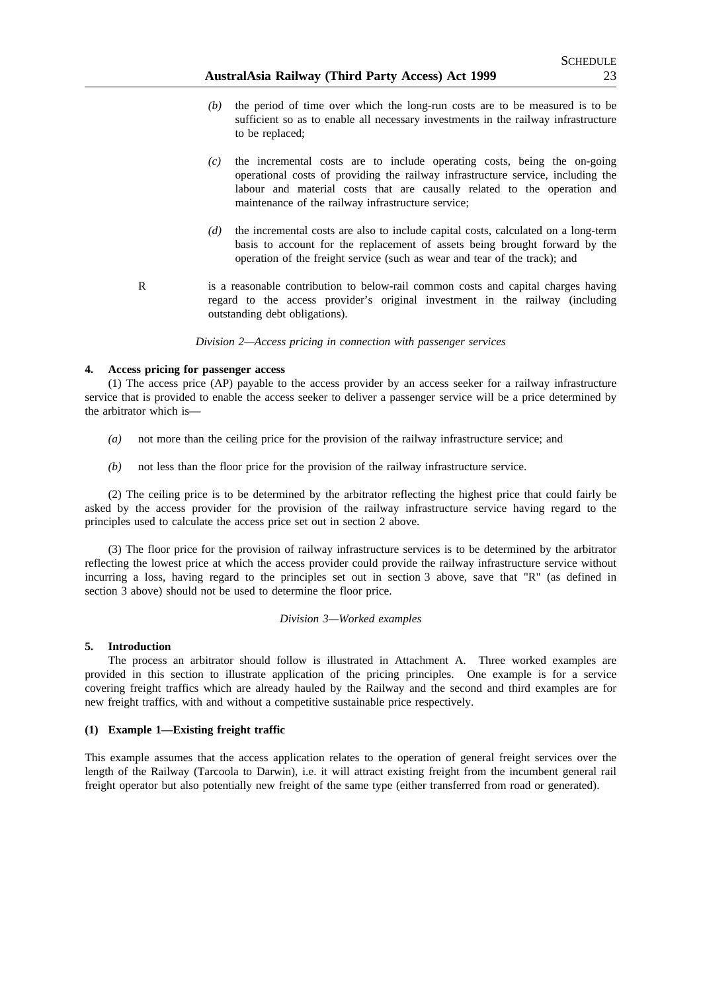- *(b)* the period of time over which the long-run costs are to be measured is to be sufficient so as to enable all necessary investments in the railway infrastructure to be replaced;
- *(c)* the incremental costs are to include operating costs, being the on-going operational costs of providing the railway infrastructure service, including the labour and material costs that are causally related to the operation and maintenance of the railway infrastructure service;
- *(d)* the incremental costs are also to include capital costs, calculated on a long-term basis to account for the replacement of assets being brought forward by the operation of the freight service (such as wear and tear of the track); and
- R is a reasonable contribution to below-rail common costs and capital charges having regard to the access provider's original investment in the railway (including outstanding debt obligations).

*Division 2—Access pricing in connection with passenger services*

#### **4. Access pricing for passenger access**

(1) The access price (AP) payable to the access provider by an access seeker for a railway infrastructure service that is provided to enable the access seeker to deliver a passenger service will be a price determined by the arbitrator which is—

- *(a)* not more than the ceiling price for the provision of the railway infrastructure service; and
- *(b)* not less than the floor price for the provision of the railway infrastructure service.

(2) The ceiling price is to be determined by the arbitrator reflecting the highest price that could fairly be asked by the access provider for the provision of the railway infrastructure service having regard to the principles used to calculate the access price set out in section 2 above.

(3) The floor price for the provision of railway infrastructure services is to be determined by the arbitrator reflecting the lowest price at which the access provider could provide the railway infrastructure service without incurring a loss, having regard to the principles set out in section 3 above, save that "R" (as defined in section 3 above) should not be used to determine the floor price.

#### *Division 3—Worked examples*

#### **5. Introduction**

The process an arbitrator should follow is illustrated in Attachment A. Three worked examples are provided in this section to illustrate application of the pricing principles. One example is for a service covering freight traffics which are already hauled by the Railway and the second and third examples are for new freight traffics, with and without a competitive sustainable price respectively.

#### **(1) Example 1—Existing freight traffic**

This example assumes that the access application relates to the operation of general freight services over the length of the Railway (Tarcoola to Darwin), i.e. it will attract existing freight from the incumbent general rail freight operator but also potentially new freight of the same type (either transferred from road or generated).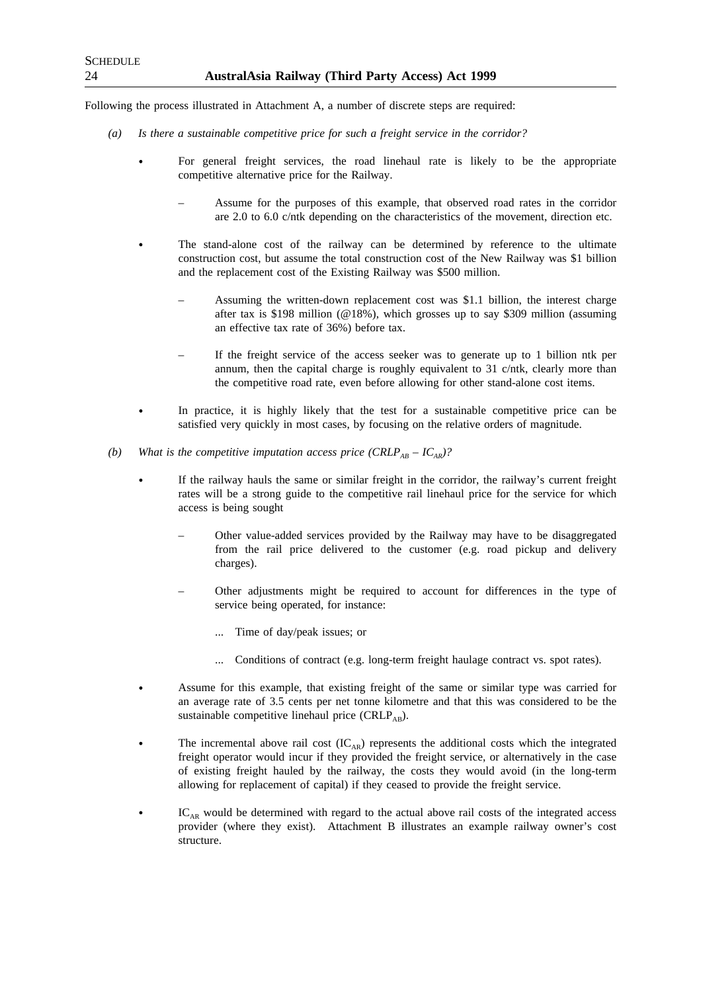Following the process illustrated in Attachment A, a number of discrete steps are required:

- *(a) Is there a sustainable competitive price for such a freight service in the corridor?*
	- For general freight services, the road linehaul rate is likely to be the appropriate competitive alternative price for the Railway.
		- Assume for the purposes of this example, that observed road rates in the corridor are 2.0 to 6.0 c/ntk depending on the characteristics of the movement, direction etc.
	- The stand-alone cost of the railway can be determined by reference to the ultimate construction cost, but assume the total construction cost of the New Railway was \$1 billion and the replacement cost of the Existing Railway was \$500 million.
		- Assuming the written-down replacement cost was \$1.1 billion, the interest charge after tax is \$198 million (@18%), which grosses up to say \$309 million (assuming an effective tax rate of 36%) before tax.
		- If the freight service of the access seeker was to generate up to 1 billion ntk per annum, then the capital charge is roughly equivalent to 31 c/ntk, clearly more than the competitive road rate, even before allowing for other stand-alone cost items.
	- In practice, it is highly likely that the test for a sustainable competitive price can be satisfied very quickly in most cases, by focusing on the relative orders of magnitude.
- *(b)* What is the competitive imputation access price  $(CRLP_{AB} IC_{AR})$ ?
	- If the railway hauls the same or similar freight in the corridor, the railway's current freight rates will be a strong guide to the competitive rail linehaul price for the service for which access is being sought
		- Other value-added services provided by the Railway may have to be disaggregated from the rail price delivered to the customer (e.g. road pickup and delivery charges).
		- Other adjustments might be required to account for differences in the type of service being operated, for instance:
			- ... Time of day/peak issues; or
			- Conditions of contract (e.g. long-term freight haulage contract vs. spot rates).
	- Assume for this example, that existing freight of the same or similar type was carried for an average rate of 3.5 cents per net tonne kilometre and that this was considered to be the sustainable competitive linehaul price (CRLP<sub>AB</sub>).
	- The incremental above rail cost  $(IC_{AR})$  represents the additional costs which the integrated freight operator would incur if they provided the freight service, or alternatively in the case of existing freight hauled by the railway, the costs they would avoid (in the long-term allowing for replacement of capital) if they ceased to provide the freight service.
	- $IC<sub>AR</sub>$  would be determined with regard to the actual above rail costs of the integrated access provider (where they exist). Attachment B illustrates an example railway owner's cost structure.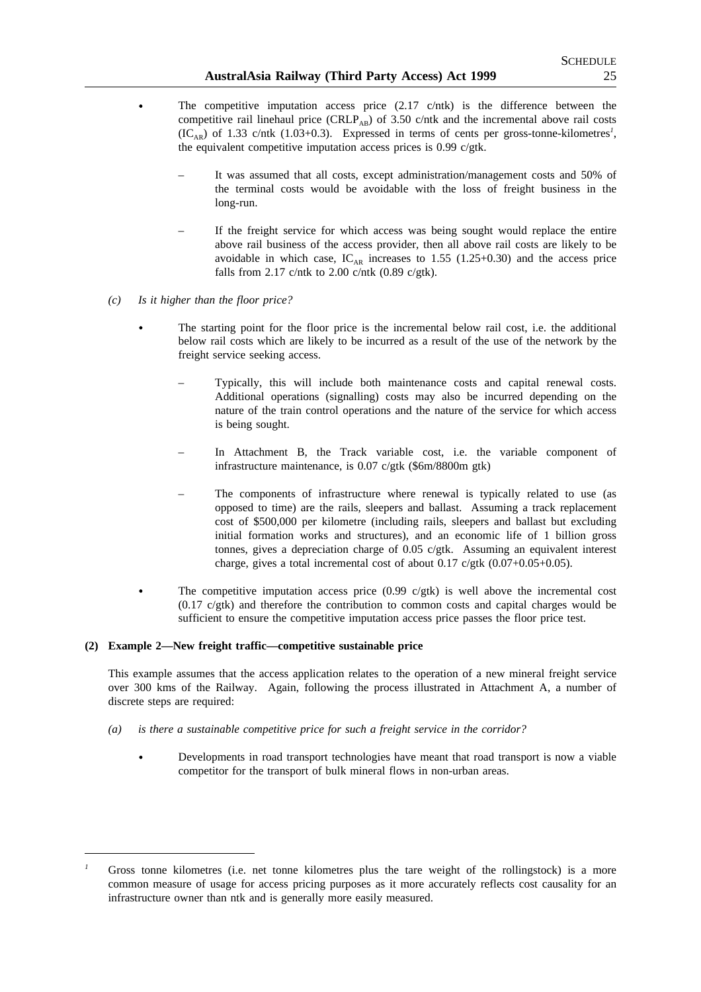- The competitive imputation access price  $(2.17 \text{ c/ntk})$  is the difference between the competitive rail linehaul price  $(CRLP_{AB})$  of 3.50 c/ntk and the incremental above rail costs  $(IC_{AR})$  of 1.33 c/ntk (1.03+0.3). Expressed in terms of cents per gross-tonne-kilometres<sup>1</sup>, the equivalent competitive imputation access prices is 0.99 c/gtk.
	- It was assumed that all costs, except administration/management costs and 50% of the terminal costs would be avoidable with the loss of freight business in the long-run.
	- If the freight service for which access was being sought would replace the entire above rail business of the access provider, then all above rail costs are likely to be avoidable in which case,  $IC_{AR}$  increases to 1.55 (1.25+0.30) and the access price falls from 2.17 c/ntk to 2.00 c/ntk (0.89 c/gtk).
- *(c) Is it higher than the floor price?*
	- The starting point for the floor price is the incremental below rail cost, i.e. the additional below rail costs which are likely to be incurred as a result of the use of the network by the freight service seeking access.
		- Typically, this will include both maintenance costs and capital renewal costs. Additional operations (signalling) costs may also be incurred depending on the nature of the train control operations and the nature of the service for which access is being sought.
		- In Attachment B, the Track variable cost, i.e. the variable component of infrastructure maintenance, is 0.07 c/gtk (\$6m/8800m gtk)
		- The components of infrastructure where renewal is typically related to use (as opposed to time) are the rails, sleepers and ballast. Assuming a track replacement cost of \$500,000 per kilometre (including rails, sleepers and ballast but excluding initial formation works and structures), and an economic life of 1 billion gross tonnes, gives a depreciation charge of 0.05 c/gtk. Assuming an equivalent interest charge, gives a total incremental cost of about  $0.17$  c/gtk  $(0.07+0.05+0.05)$ .
	- The competitive imputation access price  $(0.99 \text{ c/gtk})$  is well above the incremental cost (0.17 c/gtk) and therefore the contribution to common costs and capital charges would be sufficient to ensure the competitive imputation access price passes the floor price test.

## **(2) Example 2—New freight traffic—competitive sustainable price**

This example assumes that the access application relates to the operation of a new mineral freight service over 300 kms of the Railway. Again, following the process illustrated in Attachment A, a number of discrete steps are required:

- *(a) is there a sustainable competitive price for such a freight service in the corridor?*
	- Developments in road transport technologies have meant that road transport is now a viable competitor for the transport of bulk mineral flows in non-urban areas.

Gross tonne kilometres (i.e. net tonne kilometres plus the tare weight of the rollingstock) is a more common measure of usage for access pricing purposes as it more accurately reflects cost causality for an infrastructure owner than ntk and is generally more easily measured.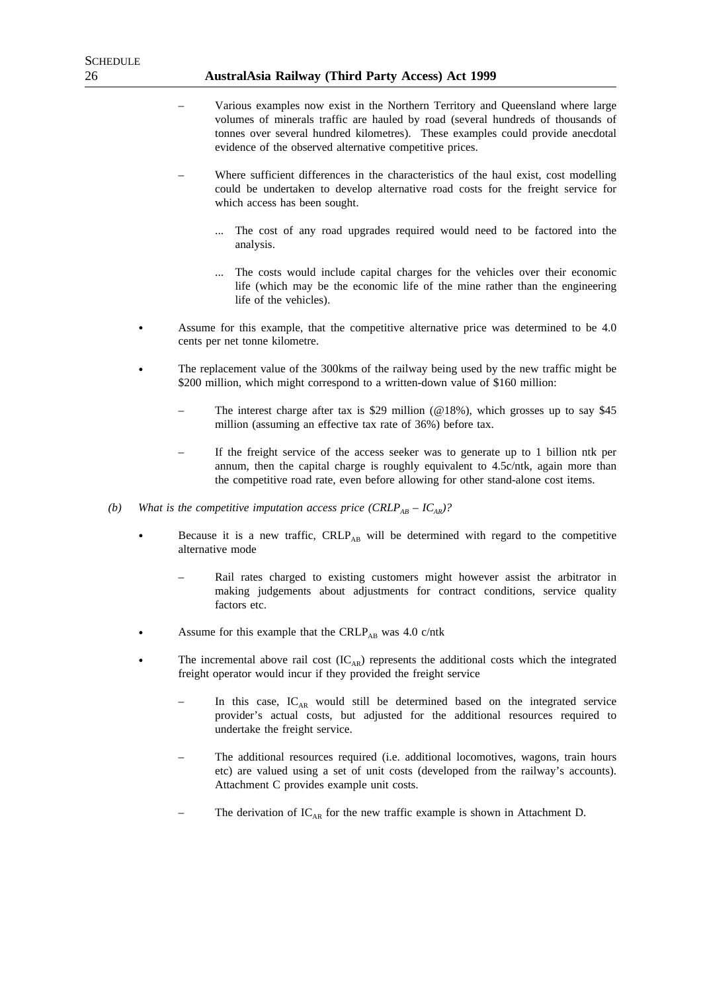- Various examples now exist in the Northern Territory and Queensland where large volumes of minerals traffic are hauled by road (several hundreds of thousands of tonnes over several hundred kilometres). These examples could provide anecdotal evidence of the observed alternative competitive prices.
- Where sufficient differences in the characteristics of the haul exist, cost modelling could be undertaken to develop alternative road costs for the freight service for which access has been sought.
	- ... The cost of any road upgrades required would need to be factored into the analysis.
	- The costs would include capital charges for the vehicles over their economic life (which may be the economic life of the mine rather than the engineering life of the vehicles).
- Assume for this example, that the competitive alternative price was determined to be 4.0 cents per net tonne kilometre.
- The replacement value of the 300kms of the railway being used by the new traffic might be \$200 million, which might correspond to a written-down value of \$160 million:
	- The interest charge after tax is \$29 million ( $@18\%$ ), which grosses up to say \$45 million (assuming an effective tax rate of 36%) before tax.
	- If the freight service of the access seeker was to generate up to 1 billion ntk per annum, then the capital charge is roughly equivalent to 4.5c/ntk, again more than the competitive road rate, even before allowing for other stand-alone cost items.
- *(b)* What is the competitive imputation access price  $(CRLP_{AB} IC_{AR})$ ?
	- Because it is a new traffic, CRLP<sub>AB</sub> will be determined with regard to the competitive alternative mode
		- Rail rates charged to existing customers might however assist the arbitrator in making judgements about adjustments for contract conditions, service quality factors etc.
	- Assume for this example that the CRLP<sub>AB</sub> was 4.0 c/ntk
	- The incremental above rail cost  $(IC_{AR})$  represents the additional costs which the integrated freight operator would incur if they provided the freight service
		- In this case,  $IC_{AR}$  would still be determined based on the integrated service provider's actual costs, but adjusted for the additional resources required to undertake the freight service.
		- The additional resources required (i.e. additional locomotives, wagons, train hours etc) are valued using a set of unit costs (developed from the railway's accounts). Attachment C provides example unit costs.
		- The derivation of  $IC_{AR}$  for the new traffic example is shown in Attachment D.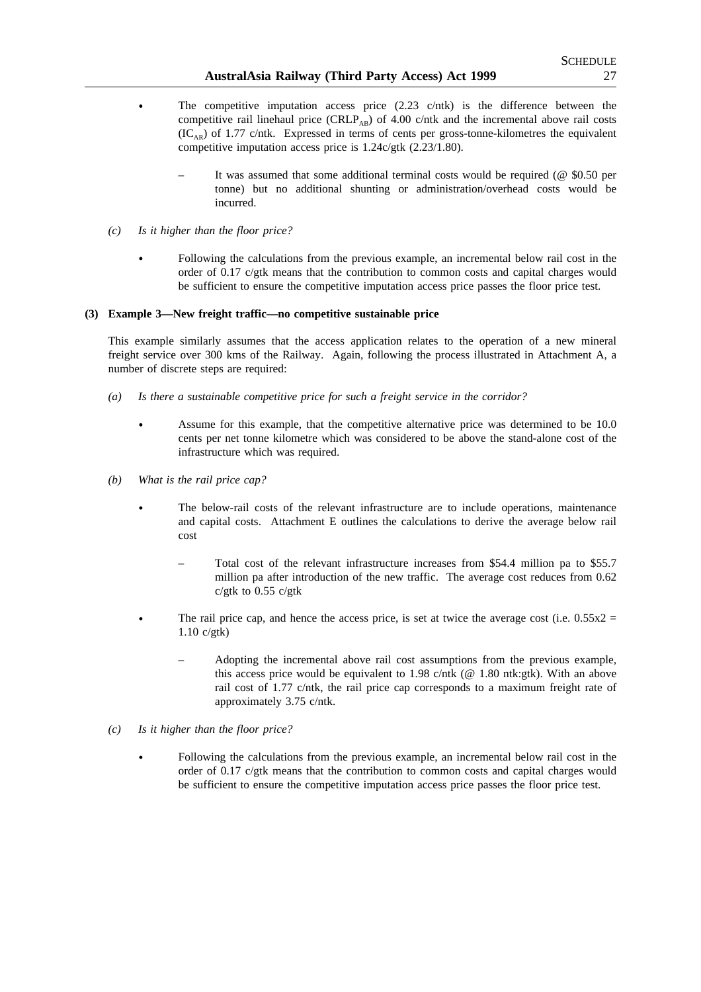- The competitive imputation access price  $(2.23 \text{ c/ntk})$  is the difference between the competitive rail linehaul price  $(CRLP_{AB})$  of 4.00 c/ntk and the incremental above rail costs  $(IC<sub>AR</sub>)$  of 1.77 c/ntk. Expressed in terms of cents per gross-tonne-kilometres the equivalent competitive imputation access price is 1.24c/gtk (2.23/1.80).
	- It was assumed that some additional terminal costs would be required ( $@$  \$0.50 per tonne) but no additional shunting or administration/overhead costs would be incurred.
- *(c) Is it higher than the floor price?*
	- Following the calculations from the previous example, an incremental below rail cost in the order of 0.17 c/gtk means that the contribution to common costs and capital charges would be sufficient to ensure the competitive imputation access price passes the floor price test.

## **(3) Example 3—New freight traffic—no competitive sustainable price**

This example similarly assumes that the access application relates to the operation of a new mineral freight service over 300 kms of the Railway. Again, following the process illustrated in Attachment A, a number of discrete steps are required:

- *(a) Is there a sustainable competitive price for such a freight service in the corridor?*
	- Assume for this example, that the competitive alternative price was determined to be 10.0 cents per net tonne kilometre which was considered to be above the stand-alone cost of the infrastructure which was required.
- *(b) What is the rail price cap?*
	- The below-rail costs of the relevant infrastructure are to include operations, maintenance and capital costs. Attachment E outlines the calculations to derive the average below rail cost
		- Total cost of the relevant infrastructure increases from \$54.4 million pa to \$55.7 million pa after introduction of the new traffic. The average cost reduces from 0.62 c/gtk to 0.55 c/gtk
		- The rail price cap, and hence the access price, is set at twice the average cost (i.e.  $0.55x2 =$ 1.10 c/gtk)
			- Adopting the incremental above rail cost assumptions from the previous example, this access price would be equivalent to 1.98 c/ntk ( $@$  1.80 ntk:gtk). With an above rail cost of 1.77 c/ntk, the rail price cap corresponds to a maximum freight rate of approximately 3.75 c/ntk.
- *(c) Is it higher than the floor price?*
	- Following the calculations from the previous example, an incremental below rail cost in the order of 0.17 c/gtk means that the contribution to common costs and capital charges would be sufficient to ensure the competitive imputation access price passes the floor price test.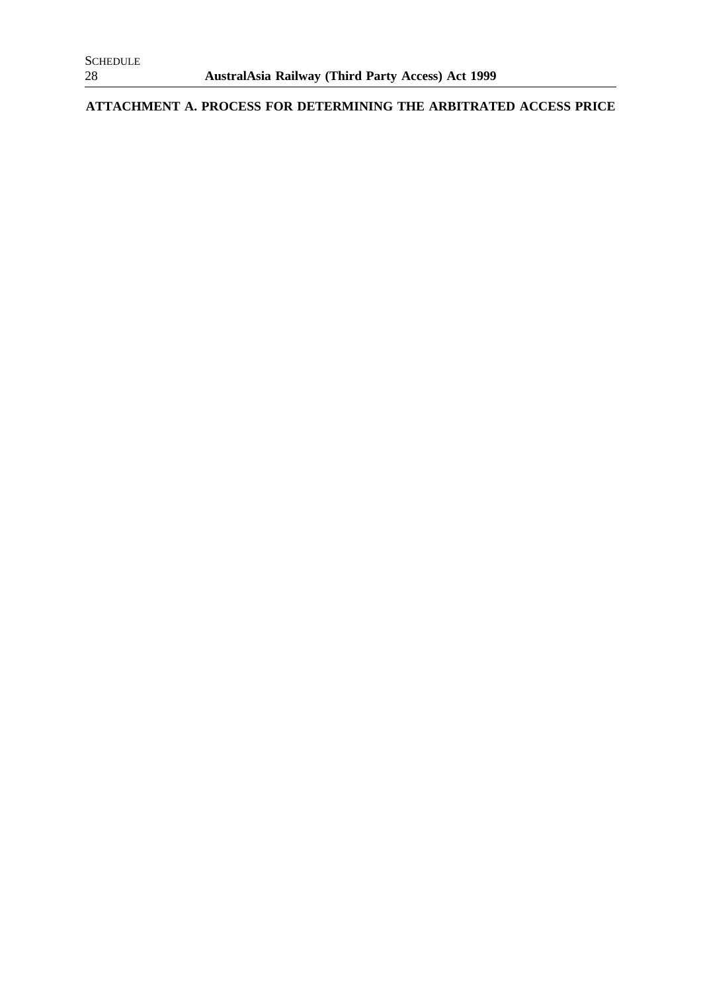**ATTACHMENT A. PROCESS FOR DETERMINING THE ARBITRATED ACCESS PRICE**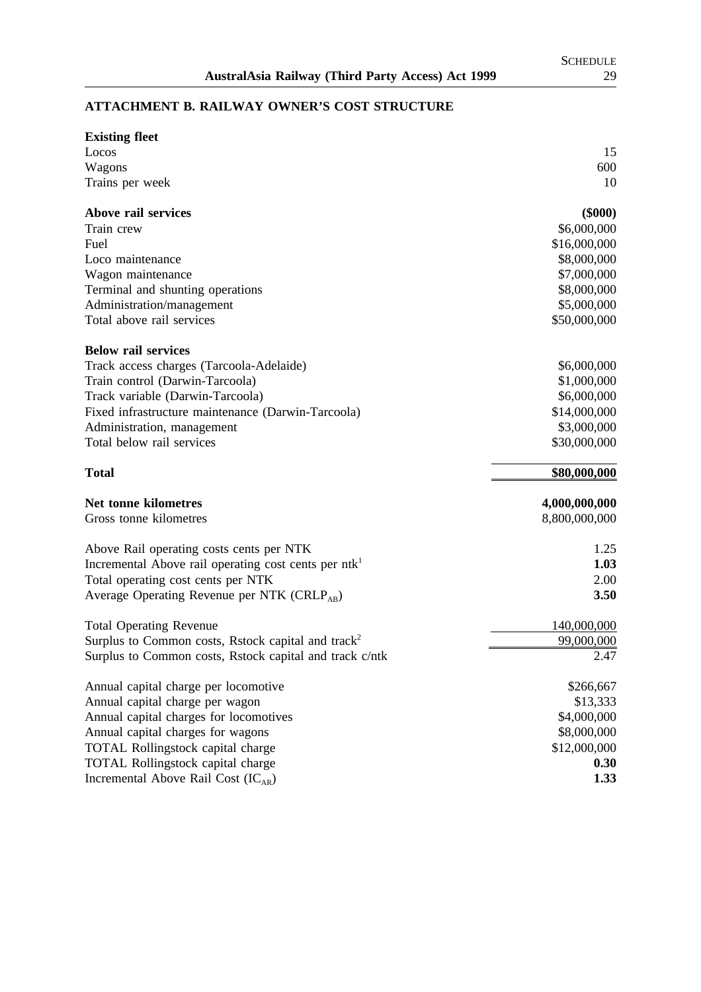## **ATTACHMENT B. RAILWAY OWNER'S COST STRUCTURE**

| <b>Existing fleet</b>                                                               |               |
|-------------------------------------------------------------------------------------|---------------|
| Locos                                                                               | 15            |
| Wagons                                                                              | 600           |
| Trains per week                                                                     | 10            |
| Above rail services                                                                 | $(\$000)$     |
| Train crew                                                                          | \$6,000,000   |
| Fuel                                                                                | \$16,000,000  |
| Loco maintenance                                                                    | \$8,000,000   |
| Wagon maintenance                                                                   | \$7,000,000   |
| Terminal and shunting operations                                                    | \$8,000,000   |
| Administration/management                                                           | \$5,000,000   |
| Total above rail services                                                           | \$50,000,000  |
| <b>Below rail services</b>                                                          |               |
| Track access charges (Tarcoola-Adelaide)                                            | \$6,000,000   |
| Train control (Darwin-Tarcoola)                                                     | \$1,000,000   |
| Track variable (Darwin-Tarcoola)                                                    | \$6,000,000   |
| Fixed infrastructure maintenance (Darwin-Tarcoola)                                  | \$14,000,000  |
| Administration, management                                                          | \$3,000,000   |
| Total below rail services                                                           | \$30,000,000  |
| <b>Total</b>                                                                        | \$80,000,000  |
| Net tonne kilometres                                                                | 4,000,000,000 |
| Gross tonne kilometres                                                              | 8,800,000,000 |
| Above Rail operating costs cents per NTK                                            | 1.25          |
| Incremental Above rail operating cost cents per ntk <sup>1</sup>                    | 1.03          |
| Total operating cost cents per NTK                                                  | 2.00          |
| Average Operating Revenue per NTK (CRLP <sub>AB</sub> )                             | 3.50          |
| <b>Total Operating Revenue</b>                                                      | 140,000,000   |
| Surplus to Common costs, Rstock capital and track <sup>2</sup>                      | 99,000,000    |
| Surplus to Common costs, Rstock capital and track c/ntk                             | 2.47          |
| Annual capital charge per locomotive                                                | \$266,667     |
| Annual capital charge per wagon                                                     |               |
|                                                                                     | \$13,333      |
| Annual capital charges for locomotives                                              | \$4,000,000   |
| Annual capital charges for wagons                                                   | \$8,000,000   |
| TOTAL Rollingstock capital charge                                                   | \$12,000,000  |
| <b>TOTAL Rollingstock capital charge</b><br>Incremental Above Rail Cost $(IC_{AR})$ | 0.30<br>1.33  |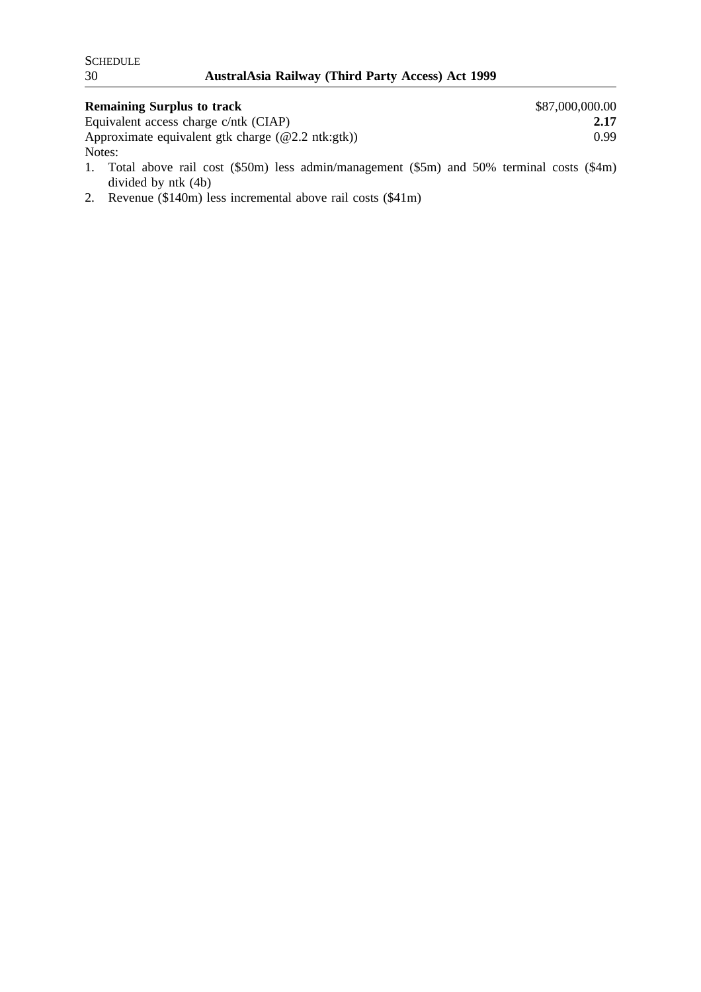| <b>Remaining Surplus to track</b>                                                                                             | \$87,000,000.00 |
|-------------------------------------------------------------------------------------------------------------------------------|-----------------|
| Equivalent access charge c/ntk (CIAP)                                                                                         | 2.17            |
| Approximate equivalent gtk charge $(\textcircled{a}2.2 \text{ ntk:}$ gtk)                                                     | 0.99            |
| Notes:                                                                                                                        |                 |
| 1 Tetal above not east $(\mathbb{C}F)_{\text{max}}$ and administration opening $(\mathbb{C}F_{\text{max}})$ and $\mathbb{C}D$ |                 |

- 1. Total above rail cost (\$50m) less admin/management (\$5m) and 50% terminal costs (\$4m) divided by ntk (4b)
- 2. Revenue (\$140m) less incremental above rail costs (\$41m)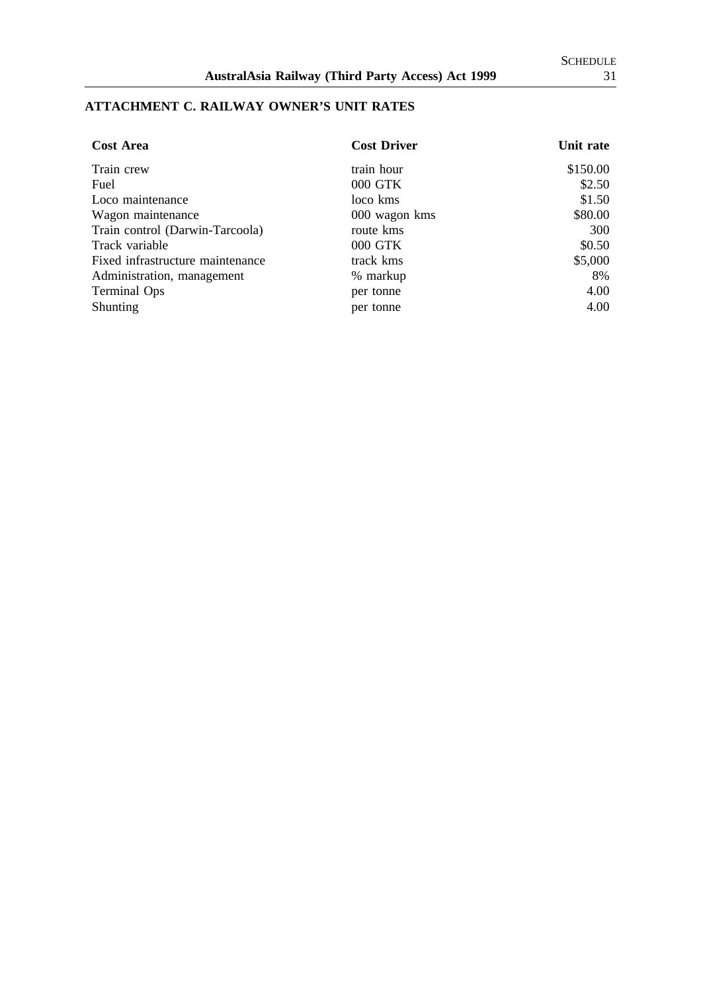## **ATTACHMENT C. RAILWAY OWNER'S UNIT RATES**

| <b>Cost Area</b>                 | <b>Cost Driver</b> | Unit rate |
|----------------------------------|--------------------|-----------|
| Train crew                       | train hour         | \$150.00  |
| Fuel                             | 000 GTK            | \$2.50    |
| Loco maintenance                 | loco kms           | \$1.50    |
| Wagon maintenance                | 000 wagon kms      | \$80.00   |
| Train control (Darwin-Tarcoola)  | route kms          | 300       |
| Track variable                   | 000 GTK            | \$0.50    |
| Fixed infrastructure maintenance | track kms          | \$5,000   |
| Administration, management       | % markup           | 8%        |
| <b>Terminal Ops</b>              | per tonne          | 4.00      |
| Shunting                         | per tonne          | 4.00      |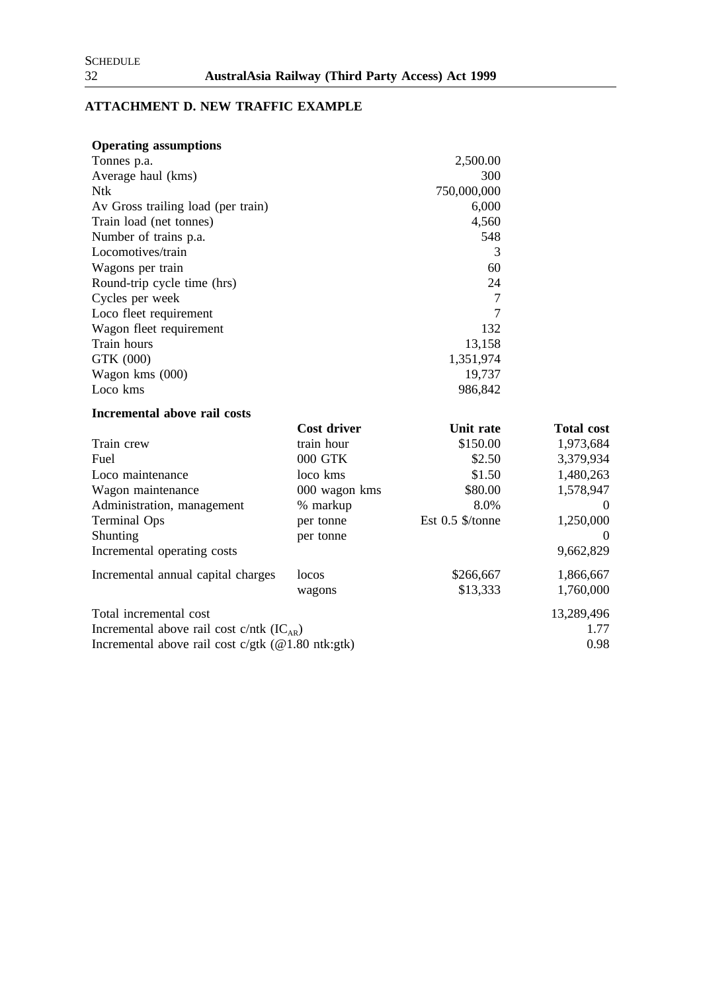# **ATTACHMENT D. NEW TRAFFIC EXAMPLE**

| <b>Operating assumptions</b> |
|------------------------------|
|                              |

| Tonnes p.a.                                         |               | 2,500.00         |                   |
|-----------------------------------------------------|---------------|------------------|-------------------|
| Average haul (kms)                                  |               | 300              |                   |
| <b>Ntk</b>                                          | 750,000,000   |                  |                   |
| Av Gross trailing load (per train)                  |               | 6,000            |                   |
| Train load (net tonnes)                             |               | 4,560            |                   |
| Number of trains p.a.                               |               | 548              |                   |
| Locomotives/train                                   |               | 3                |                   |
| Wagons per train                                    |               | 60               |                   |
| Round-trip cycle time (hrs)                         |               | 24               |                   |
| Cycles per week                                     |               | $\overline{7}$   |                   |
| Loco fleet requirement                              |               | 7                |                   |
| Wagon fleet requirement                             |               | 132              |                   |
| Train hours                                         |               | 13,158           |                   |
| GTK (000)                                           | 1,351,974     |                  |                   |
| Wagon kms (000)                                     |               | 19,737           |                   |
| Loco kms                                            |               | 986,842          |                   |
| Incremental above rail costs                        |               |                  |                   |
|                                                     | Cost driver   | Unit rate        | <b>Total cost</b> |
| Train crew                                          | train hour    | \$150.00         | 1,973,684         |
| Fuel                                                | 000 GTK       | \$2.50           | 3,379,934         |
| Loco maintenance                                    | loco kms      | \$1.50           | 1,480,263         |
| Wagon maintenance                                   | 000 wagon kms | \$80.00          | 1,578,947         |
| Administration, management                          | % markup      | 8.0%             | $\theta$          |
| <b>Terminal Ops</b>                                 | per tonne     | Est 0.5 \$/tonne | 1,250,000         |
| Shunting                                            | per tonne     |                  |                   |
| Incremental operating costs                         |               |                  | 9,662,829         |
| Incremental annual capital charges                  | locos         | \$266,667        | 1,866,667         |
|                                                     | wagons        | \$13,333         | 1,760,000         |
| Total incremental cost                              |               |                  | 13,289,496        |
| Incremental above rail cost c/ntk $(IC_{AR})$       |               |                  | 1.77              |
| Incremental above rail cost c/gtk $(@1.80$ ntk:gtk) |               |                  | 0.98              |